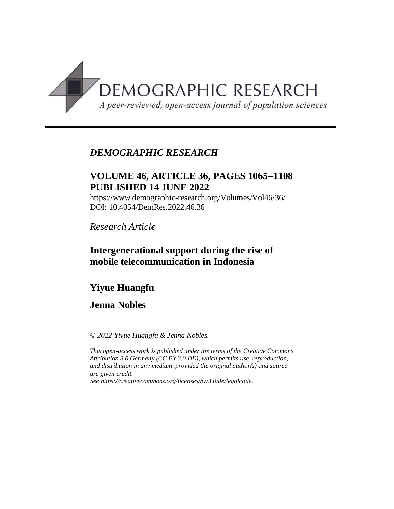

## *DEMOGRAPHIC RESEARCH*

## **VOLUME 46, ARTICLE 36, PAGES 10651108 PUBLISHED 14 JUNE 2022**

https://www.demographic-research.org/Volumes/Vol46/36/ DOI: 10.4054/DemRes.2022.46.36

*Research Article*

## **Intergenerational support during the rise of mobile telecommunication in Indonesia**

# **Yiyue Huangfu**

## **Jenna Nobles**

*© 2022 Yiyue Huangfu & Jenna Nobles.*

*This open-access work is published under the terms of the Creative Commons Attribution 3.0 Germany (CC BY 3.0 DE), which permits use, reproduction, and distribution in any medium, provided the original author(s) and source are given credit.*

*See [https://creativecommons.org/licenses/by/3.0/de/legalcode.](https://creativecommons.org/licenses/by/3.0/de/legalcode)*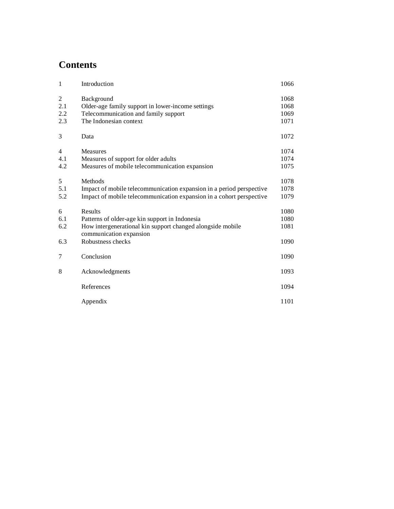# **Contents**

| 1                      | Introduction                                                                                                                                            | 1066                         |
|------------------------|---------------------------------------------------------------------------------------------------------------------------------------------------------|------------------------------|
| 2<br>2.1<br>2.2<br>2.3 | Background<br>Older-age family support in lower-income settings<br>Telecommunication and family support<br>The Indonesian context                       | 1068<br>1068<br>1069<br>1071 |
| 3                      | Data                                                                                                                                                    | 1072                         |
| 4<br>4.1<br>4.2        | <b>Measures</b><br>Measures of support for older adults<br>Measures of mobile telecommunication expansion                                               | 1074<br>1074<br>1075         |
| 5<br>5.1<br>5.2        | Methods<br>Impact of mobile telecommunication expansion in a period perspective<br>Impact of mobile telecommunication expansion in a cohort perspective | 1078<br>1078<br>1079         |
| 6<br>6.1<br>6.2        | Results<br>Patterns of older-age kin support in Indonesia<br>How intergenerational kin support changed alongside mobile<br>communication expansion      | 1080<br>1080<br>1081         |
| 6.3                    | Robustness checks                                                                                                                                       | 1090                         |
| 7                      | Conclusion                                                                                                                                              | 1090                         |
| 8                      | Acknowledgments                                                                                                                                         | 1093                         |
|                        | References                                                                                                                                              | 1094                         |
|                        | Appendix                                                                                                                                                | 1101                         |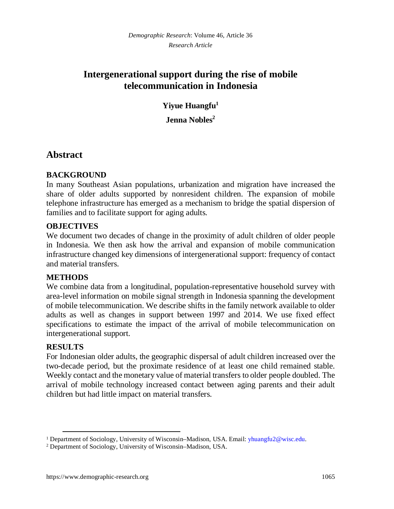## **Intergenerational support during the rise of mobile telecommunication in Indonesia**

**Yiyue Huangfu[1](#page-2-0)**

**Jenna Nobles[2](#page-2-1)**

## **Abstract**

#### **BACKGROUND**

In many Southeast Asian populations, urbanization and migration have increased the share of older adults supported by nonresident children. The expansion of mobile telephone infrastructure has emerged as a mechanism to bridge the spatial dispersion of families and to facilitate support for aging adults.

#### **OBJECTIVES**

We document two decades of change in the proximity of adult children of older people in Indonesia. We then ask how the arrival and expansion of mobile communication infrastructure changed key dimensions of intergenerational support: frequency of contact and material transfers.

#### **METHODS**

We combine data from a longitudinal, population-representative household survey with area-level information on mobile signal strength in Indonesia spanning the development of mobile telecommunication. We describe shifts in the family network available to older adults as well as changes in support between 1997 and 2014. We use fixed effect specifications to estimate the impact of the arrival of mobile telecommunication on intergenerational support.

#### **RESULTS**

For Indonesian older adults, the geographic dispersal of adult children increased over the two-decade period, but the proximate residence of at least one child remained stable. Weekly contact and the monetary value of material transfers to older people doubled. The arrival of mobile technology increased contact between aging parents and their adult children but had little impact on material transfers.

<span id="page-2-0"></span><sup>&</sup>lt;sup>1</sup> Department of Sociology, University of Wisconsin–Madison, USA. Email: [yhuangfu2@wisc.edu.](mailto:yhuangfu2@wisc.edu)

<span id="page-2-1"></span><sup>2</sup> Department of Sociology, University of Wisconsin–Madison, USA.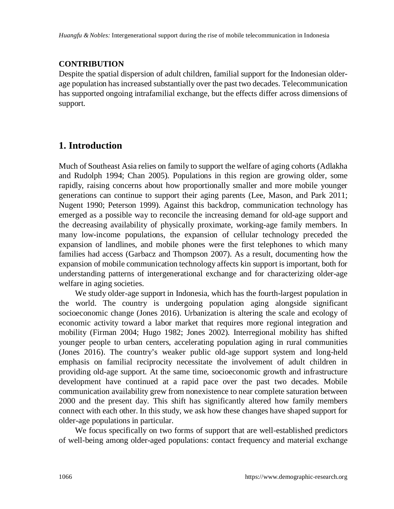## **CONTRIBUTION**

Despite the spatial dispersion of adult children, familial support for the Indonesian olderage population has increased substantially over the past two decades. Telecommunication has supported ongoing intrafamilial exchange, but the effects differ across dimensions of support.

# **1. Introduction**

Much of Southeast Asia relies on family to support the welfare of aging cohorts (Adlakha and Rudolph 1994; Chan 2005). Populations in this region are growing older, some rapidly, raising concerns about how proportionally smaller and more mobile younger generations can continue to support their aging parents (Lee, Mason, and Park 2011; Nugent 1990; Peterson 1999). Against this backdrop, communication technology has emerged as a possible way to reconcile the increasing demand for old-age support and the decreasing availability of physically proximate, working-age family members. In many low-income populations, the expansion of cellular technology preceded the expansion of landlines, and mobile phones were the first telephones to which many families had access (Garbacz and Thompson 2007). As a result, documenting how the expansion of mobile communication technology affects kin support is important, both for understanding patterns of intergenerational exchange and for characterizing older-age welfare in aging societies.

We study older-age support in Indonesia, which has the fourth-largest population in the world. The country is undergoing population aging alongside significant socioeconomic change (Jones 2016). Urbanization is altering the scale and ecology of economic activity toward a labor market that requires more regional integration and mobility (Firman 2004; Hugo 1982; Jones 2002). Interregional mobility has shifted younger people to urban centers, accelerating population aging in rural communities (Jones 2016). The country's weaker public old-age support system and long-held emphasis on familial reciprocity necessitate the involvement of adult children in providing old-age support. At the same time, socioeconomic growth and infrastructure development have continued at a rapid pace over the past two decades. Mobile communication availability grew from nonexistence to near complete saturation between 2000 and the present day. This shift has significantly altered how family members connect with each other. In this study, we ask how these changes have shaped support for older-age populations in particular.

We focus specifically on two forms of support that are well-established predictors of well-being among older-aged populations: contact frequency and material exchange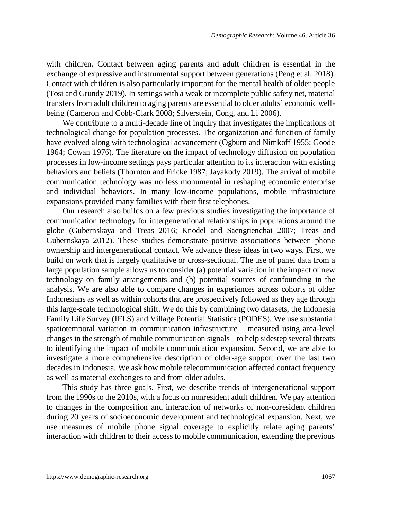with children. Contact between aging parents and adult children is essential in the exchange of expressive and instrumental support between generations (Peng et al. 2018). Contact with children is also particularly important for the mental health of older people (Tosi and Grundy 2019). In settings with a weak or incomplete public safety net, material transfers from adult children to aging parents are essential to older adults' economic wellbeing (Cameron and Cobb-Clark 2008; Silverstein, Cong, and Li 2006).

We contribute to a multi-decade line of inquiry that investigates the implications of technological change for population processes. The organization and function of family have evolved along with technological advancement (Ogburn and Nimkoff 1955; Goode 1964; Cowan 1976). The literature on the impact of technology diffusion on population processes in low-income settings pays particular attention to its interaction with existing behaviors and beliefs (Thornton and Fricke 1987; Jayakody 2019). The arrival of mobile communication technology was no less monumental in reshaping economic enterprise and individual behaviors. In many low-income populations, mobile infrastructure expansions provided many families with their first telephones.

Our research also builds on a few previous studies investigating the importance of communication technology for intergenerational relationships in populations around the globe (Gubernskaya and Treas 2016; Knodel and Saengtienchai 2007; Treas and Gubernskaya 2012). These studies demonstrate positive associations between phone ownership and intergenerational contact. We advance these ideas in two ways. First, we build on work that is largely qualitative or cross-sectional. The use of panel data from a large population sample allows us to consider (a) potential variation in the impact of new technology on family arrangements and (b) potential sources of confounding in the analysis. We are also able to compare changes in experiences across cohorts of older Indonesians as well as within cohorts that are prospectively followed as they age through this large-scale technological shift. We do this by combining two datasets, the Indonesia Family Life Survey (IFLS) and Village Potential Statistics (PODES). We use substantial spatiotemporal variation in communication infrastructure – measured using area-level changes in the strength of mobile communication signals – to help sidestep several threats to identifying the impact of mobile communication expansion. Second, we are able to investigate a more comprehensive description of older-age support over the last two decades in Indonesia. We ask how mobile telecommunication affected contact frequency as well as material exchanges to and from older adults.

This study has three goals. First, we describe trends of intergenerational support from the 1990s to the 2010s, with a focus on nonresident adult children. We pay attention to changes in the composition and interaction of networks of non-coresident children during 20 years of socioeconomic development and technological expansion. Next, we use measures of mobile phone signal coverage to explicitly relate aging parents' interaction with children to their access to mobile communication, extending the previous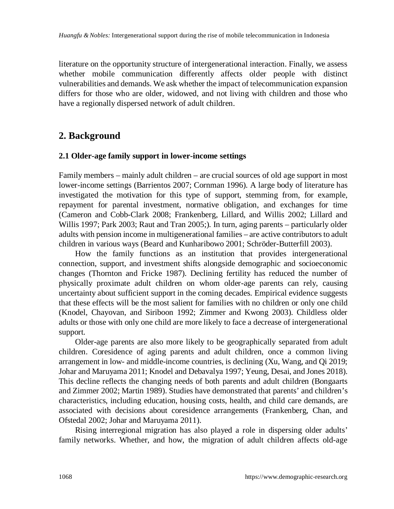literature on the opportunity structure of intergenerational interaction. Finally, we assess whether mobile communication differently affects older people with distinct vulnerabilities and demands. We ask whether the impact of telecommunication expansion differs for those who are older, widowed, and not living with children and those who have a regionally dispersed network of adult children.

## **2. Background**

#### **2.1 Older-age family support in lower-income settings**

Family members – mainly adult children – are crucial sources of old age support in most lower-income settings (Barrientos 2007; Cornman 1996). A large body of literature has investigated the motivation for this type of support, stemming from, for example, repayment for parental investment, normative obligation, and exchanges for time (Cameron and Cobb-Clark 2008; Frankenberg, Lillard, and Willis 2002; Lillard and Willis 1997; Park 2003; Raut and Tran 2005;). In turn, aging parents – particularly older adults with pension income in multigenerational families – are active contributors to adult children in various ways (Beard and Kunharibowo 2001; Schröder-Butterfill 2003).

How the family functions as an institution that provides intergenerational connection, support, and investment shifts alongside demographic and socioeconomic changes (Thornton and Fricke 1987). Declining fertility has reduced the number of physically proximate adult children on whom older-age parents can rely, causing uncertainty about sufficient support in the coming decades. Empirical evidence suggests that these effects will be the most salient for families with no children or only one child (Knodel, Chayovan, and Siriboon 1992; Zimmer and Kwong 2003). Childless older adults or those with only one child are more likely to face a decrease of intergenerational support.

Older-age parents are also more likely to be geographically separated from adult children. Coresidence of aging parents and adult children, once a common living arrangement in low- and middle-income countries, is declining (Xu, Wang, and Qi 2019; Johar and Maruyama 2011; Knodel and Debavalya 1997; Yeung, Desai, and Jones 2018). This decline reflects the changing needs of both parents and adult children (Bongaarts and Zimmer 2002; Martin 1989). Studies have demonstrated that parents' and children's characteristics, including education, housing costs, health, and child care demands, are associated with decisions about coresidence arrangements (Frankenberg, Chan, and Ofstedal 2002; Johar and Maruyama 2011).

Rising interregional migration has also played a role in dispersing older adults' family networks. Whether, and how, the migration of adult children affects old-age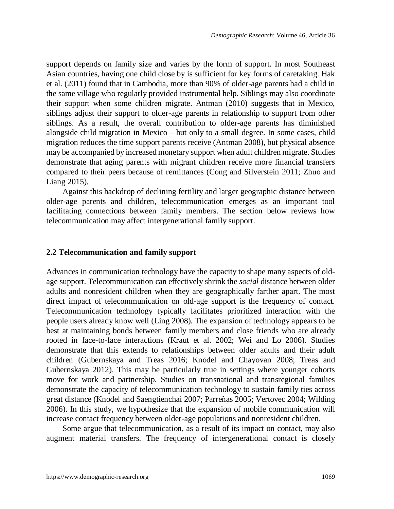support depends on family size and varies by the form of support. In most Southeast Asian countries, having one child close by is sufficient for key forms of caretaking. Hak et al. (2011) found that in Cambodia, more than 90% of older-age parents had a child in the same village who regularly provided instrumental help. Siblings may also coordinate their support when some children migrate. Antman (2010) suggests that in Mexico, siblings adjust their support to older-age parents in relationship to support from other siblings. As a result, the overall contribution to older-age parents has diminished alongside child migration in Mexico – but only to a small degree. In some cases, child migration reduces the time support parents receive (Antman 2008), but physical absence may be accompanied by increased monetary support when adult children migrate. Studies demonstrate that aging parents with migrant children receive more financial transfers compared to their peers because of remittances (Cong and Silverstein 2011; Zhuo and Liang 2015).

Against this backdrop of declining fertility and larger geographic distance between older-age parents and children, telecommunication emerges as an important tool facilitating connections between family members. The section below reviews how telecommunication may affect intergenerational family support.

#### **2.2 Telecommunication and family support**

Advances in communication technology have the capacity to shape many aspects of oldage support. Telecommunication can effectively shrink the *social* distance between older adults and nonresident children when they are geographically farther apart. The most direct impact of telecommunication on old-age support is the frequency of contact. Telecommunication technology typically facilitates prioritized interaction with the people users already know well (Ling 2008). The expansion of technology appears to be best at maintaining bonds between family members and close friends who are already rooted in face-to-face interactions (Kraut et al. 2002; Wei and Lo 2006). Studies demonstrate that this extends to relationships between older adults and their adult children (Gubernskaya and Treas 2016; Knodel and Chayovan 2008; Treas and Gubernskaya 2012). This may be particularly true in settings where younger cohorts move for work and partnership. Studies on transnational and transregional families demonstrate the capacity of telecommunication technology to sustain family ties across great distance (Knodel and Saengtienchai 2007; Parreñas 2005; Vertovec 2004; Wilding 2006). In this study, we hypothesize that the expansion of mobile communication will increase contact frequency between older-age populations and nonresident children.

Some argue that telecommunication, as a result of its impact on contact, may also augment material transfers. The frequency of intergenerational contact is closely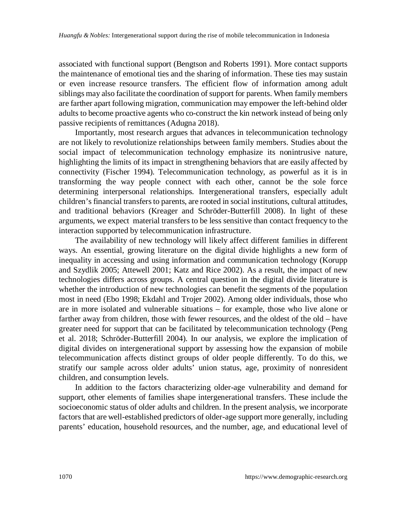associated with functional support (Bengtson and Roberts 1991). More contact supports the maintenance of emotional ties and the sharing of information. These ties may sustain or even increase resource transfers. The efficient flow of information among adult siblings may also facilitate the coordination of support for parents. When family members are farther apart following migration, communication may empower the left-behind older adults to become proactive agents who co-construct the kin network instead of being only passive recipients of remittances (Adugna 2018).

Importantly, most research argues that advances in telecommunication technology are not likely to revolutionize relationships between family members. Studies about the social impact of telecommunication technology emphasize its nonintrusive nature, highlighting the limits of its impact in strengthening behaviors that are easily affected by connectivity (Fischer 1994). Telecommunication technology, as powerful as it is in transforming the way people connect with each other, cannot be the sole force determining interpersonal relationships. Intergenerational transfers, especially adult children's financial transfers to parents, are rooted in social institutions, cultural attitudes, and traditional behaviors (Kreager and Schröder-Butterfill 2008). In light of these arguments, we expect material transfers to be less sensitive than contact frequency to the interaction supported by telecommunication infrastructure.

The availability of new technology will likely affect different families in different ways. An essential, growing literature on the digital divide highlights a new form of inequality in accessing and using information and communication technology (Korupp and Szydlik 2005; Attewell 2001; Katz and Rice 2002). As a result, the impact of new technologies differs across groups. A central question in the digital divide literature is whether the introduction of new technologies can benefit the segments of the population most in need (Ebo 1998; Ekdahl and Trojer 2002). Among older individuals, those who are in more isolated and vulnerable situations – for example, those who live alone or farther away from children, those with fewer resources, and the oldest of the old – have greater need for support that can be facilitated by telecommunication technology (Peng et al. 2018; Schröder-Butterfill 2004). In our analysis, we explore the implication of digital divides on intergenerational support by assessing how the expansion of mobile telecommunication affects distinct groups of older people differently. To do this, we stratify our sample across older adults' union status, age, proximity of nonresident children, and consumption levels.

In addition to the factors characterizing older-age vulnerability and demand for support, other elements of families shape intergenerational transfers. These include the socioeconomic status of older adults and children. In the present analysis, we incorporate factors that are well-established predictors of older-age support more generally, including parents' education, household resources, and the number, age, and educational level of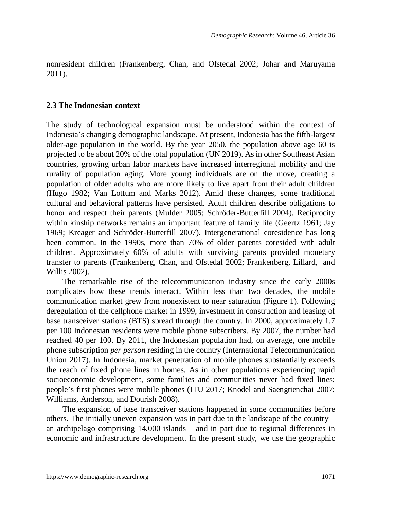nonresident children (Frankenberg, Chan, and Ofstedal 2002; Johar and Maruyama 2011).

#### **2.3 The Indonesian context**

The study of technological expansion must be understood within the context of Indonesia's changing demographic landscape. At present, Indonesia has the fifth-largest older-age population in the world. By the year 2050, the population above age 60 is projected to be about 20% of the total population (UN 2019). As in other Southeast Asian countries, growing urban labor markets have increased interregional mobility and the rurality of population aging. More young individuals are on the move, creating a population of older adults who are more likely to live apart from their adult children (Hugo 1982; Van Lottum and Marks 2012). Amid these changes, some traditional cultural and behavioral patterns have persisted. Adult children describe obligations to honor and respect their parents (Mulder 2005; Schröder-Butterfill 2004). Reciprocity within kinship networks remains an important feature of family life (Geertz 1961; Jay 1969; Kreager and Schröder-Butterfill 2007). Intergenerational coresidence has long been common. In the 1990s, more than 70% of older parents coresided with adult children. Approximately 60% of adults with surviving parents provided monetary transfer to parents (Frankenberg, Chan, and Ofstedal 2002; Frankenberg, Lillard, and Willis 2002).

The remarkable rise of the telecommunication industry since the early 2000s complicates how these trends interact. Within less than two decades, the mobile communication market grew from nonexistent to near saturation (Figure 1). Following deregulation of the cellphone market in 1999, investment in construction and leasing of base transceiver stations (BTS) spread through the country. In 2000, approximately 1.7 per 100 Indonesian residents were mobile phone subscribers. By 2007, the number had reached 40 per 100. By 2011, the Indonesian population had, on average, one mobile phone subscription *per person* residing in the country (International Telecommunication Union 2017). In Indonesia, market penetration of mobile phones substantially exceeds the reach of fixed phone lines in homes. As in other populations experiencing rapid socioeconomic development, some families and communities never had fixed lines; people's first phones were mobile phones (ITU 2017; Knodel and Saengtienchai 2007; Williams, Anderson, and Dourish 2008).

The expansion of base transceiver stations happened in some communities before others. The initially uneven expansion was in part due to the landscape of the country – an archipelago comprising 14,000 islands – and in part due to regional differences in economic and infrastructure development. In the present study, we use the geographic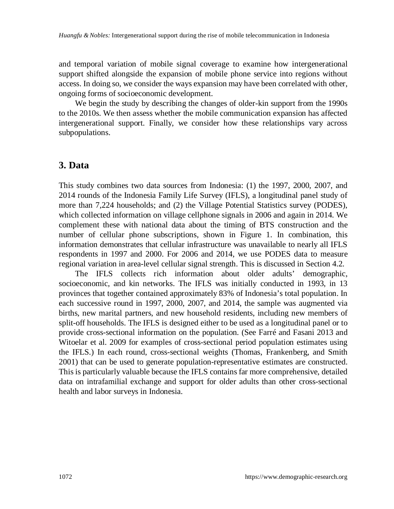and temporal variation of mobile signal coverage to examine how intergenerational support shifted alongside the expansion of mobile phone service into regions without access. In doing so, we consider the ways expansion may have been correlated with other, ongoing forms of socioeconomic development.

We begin the study by describing the changes of older-kin support from the 1990s to the 2010s. We then assess whether the mobile communication expansion has affected intergenerational support. Finally, we consider how these relationships vary across subpopulations.

### **3. Data**

This study combines two data sources from Indonesia: (1) the 1997, 2000, 2007, and 2014 rounds of the Indonesia Family Life Survey (IFLS), a longitudinal panel study of more than 7,224 households; and (2) the Village Potential Statistics survey (PODES), which collected information on village cellphone signals in 2006 and again in 2014. We complement these with national data about the timing of BTS construction and the number of cellular phone subscriptions, shown in Figure 1. In combination, this information demonstrates that cellular infrastructure was unavailable to nearly all IFLS respondents in 1997 and 2000. For 2006 and 2014, we use PODES data to measure regional variation in area-level cellular signal strength. This is discussed in Section 4.2.

The IFLS collects rich information about older adults' demographic, socioeconomic, and kin networks. The IFLS was initially conducted in 1993, in 13 provinces that together contained approximately 83% of Indonesia's total population. In each successive round in 1997, 2000, 2007, and 2014, the sample was augmented via births, new marital partners, and new household residents, including new members of split-off households. The IFLS is designed either to be used as a longitudinal panel or to provide cross-sectional information on the population. (See Farré and Fasani 2013 and Witoelar et al. 2009 for examples of cross-sectional period population estimates using the IFLS.) In each round, cross-sectional weights (Thomas, Frankenberg, and Smith 2001) that can be used to generate population-representative estimates are constructed. This is particularly valuable because the IFLS contains far more comprehensive, detailed data on intrafamilial exchange and support for older adults than other cross-sectional health and labor surveys in Indonesia.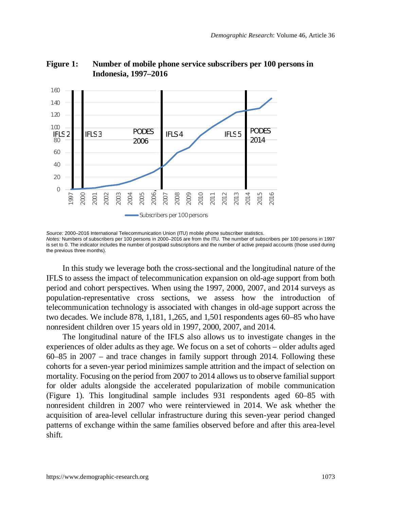

**Figure 1: Number of mobile phone service subscribers per 100 persons in Indonesia, 1997–2016**

*Source:* 2000–2016 International Telecommunication Union (ITU) mobile phone subscriber statistics. *Notes:* Numbers of subscribers per 100 persons in 2000–2016 are from the ITU. The number of subscribers per 100 persons in 1997 is set to 0. The indicator includes the number of postpaid subscriptions and the number of active prepaid accounts (those used during the previous three months).

In this study we leverage both the cross-sectional and the longitudinal nature of the IFLS to assess the impact of telecommunication expansion on old-age support from both period and cohort perspectives. When using the 1997, 2000, 2007, and 2014 surveys as population-representative cross sections, we assess how the introduction of telecommunication technology is associated with changes in old-age support across the two decades. We include 878, 1,181, 1,265, and 1,501 respondents ages 60–85 who have nonresident children over 15 years old in 1997, 2000, 2007, and 2014.

The longitudinal nature of the IFLS also allows us to investigate changes in the experiences of older adults as they age. We focus on a set of cohorts – older adults aged 60–85 in 2007 – and trace changes in family support through 2014. Following these cohorts for a seven-year period minimizes sample attrition and the impact of selection on mortality. Focusing on the period from 2007 to 2014 allows us to observe familial support for older adults alongside the accelerated popularization of mobile communication (Figure 1). This longitudinal sample includes 931 respondents aged 60–85 with nonresident children in 2007 who were reinterviewed in 2014. We ask whether the acquisition of area-level cellular infrastructure during this seven-year period changed patterns of exchange within the same families observed before and after this area-level shift.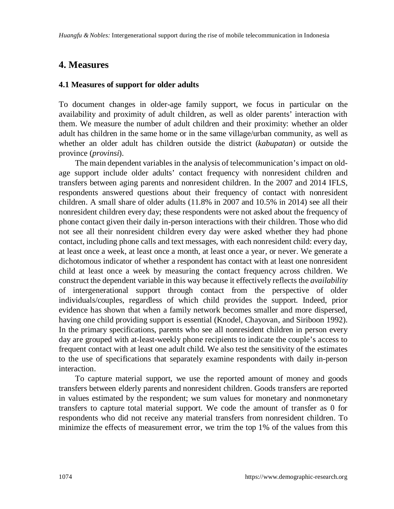## **4. Measures**

#### **4.1 Measures of support for older adults**

To document changes in older-age family support, we focus in particular on the availability and proximity of adult children, as well as older parents' interaction with them. We measure the number of adult children and their proximity: whether an older adult has children in the same home or in the same village/urban community, as well as whether an older adult has children outside the district (*kabupatan*) or outside the province (*provinsi*).

The main dependent variables in the analysis of telecommunication's impact on oldage support include older adults' contact frequency with nonresident children and transfers between aging parents and nonresident children. In the 2007 and 2014 IFLS, respondents answered questions about their frequency of contact with nonresident children. A small share of older adults (11.8% in 2007 and 10.5% in 2014) see all their nonresident children every day; these respondents were not asked about the frequency of phone contact given their daily in-person interactions with their children. Those who did not see all their nonresident children every day were asked whether they had phone contact, including phone calls and text messages, with each nonresident child: every day, at least once a week, at least once a month, at least once a year, or never. We generate a dichotomous indicator of whether a respondent has contact with at least one nonresident child at least once a week by measuring the contact frequency across children. We construct the dependent variable in this way because it effectively reflects the *availability* of intergenerational support through contact from the perspective of older individuals/couples, regardless of which child provides the support. Indeed, prior evidence has shown that when a family network becomes smaller and more dispersed, having one child providing support is essential (Knodel, Chayovan, and Siriboon 1992). In the primary specifications, parents who see all nonresident children in person every day are grouped with at-least-weekly phone recipients to indicate the couple's access to frequent contact with at least one adult child. We also test the sensitivity of the estimates to the use of specifications that separately examine respondents with daily in-person interaction.

To capture material support, we use the reported amount of money and goods transfers between elderly parents and nonresident children. Goods transfers are reported in values estimated by the respondent; we sum values for monetary and nonmonetary transfers to capture total material support. We code the amount of transfer as 0 for respondents who did not receive any material transfers from nonresident children. To minimize the effects of measurement error, we trim the top 1% of the values from this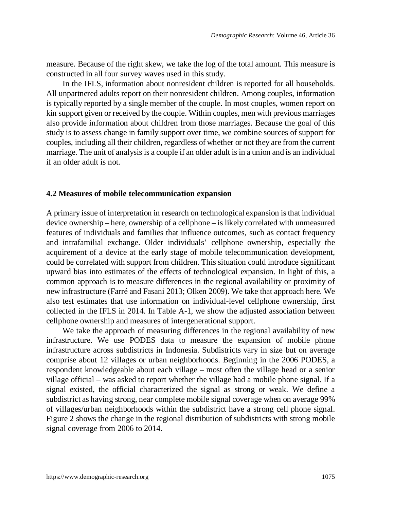measure. Because of the right skew, we take the log of the total amount. This measure is constructed in all four survey waves used in this study.

In the IFLS, information about nonresident children is reported for all households. All unpartnered adults report on their nonresident children. Among couples, information is typically reported by a single member of the couple. In most couples, women report on kin support given or received by the couple. Within couples, men with previous marriages also provide information about children from those marriages. Because the goal of this study is to assess change in family support over time, we combine sources of support for couples, including all their children, regardless of whether or not they are from the current marriage. The unit of analysis is a couple if an older adult is in a union and is an individual if an older adult is not.

#### **4.2 Measures of mobile telecommunication expansion**

A primary issue of interpretation in research on technological expansion is that individual device ownership – here, ownership of a cellphone – is likely correlated with unmeasured features of individuals and families that influence outcomes, such as contact frequency and intrafamilial exchange. Older individuals' cellphone ownership, especially the acquirement of a device at the early stage of mobile telecommunication development, could be correlated with support from children. This situation could introduce significant upward bias into estimates of the effects of technological expansion. In light of this, a common approach is to measure differences in the regional availability or proximity of new infrastructure (Farré and Fasani 2013; Olken 2009). We take that approach here. We also test estimates that use information on individual-level cellphone ownership, first collected in the IFLS in 2014. In Table A-1, we show the adjusted association between cellphone ownership and measures of intergenerational support.

We take the approach of measuring differences in the regional availability of new infrastructure. We use PODES data to measure the expansion of mobile phone infrastructure across subdistricts in Indonesia. Subdistricts vary in size but on average comprise about 12 villages or urban neighborhoods. Beginning in the 2006 PODES, a respondent knowledgeable about each village – most often the village head or a senior village official – was asked to report whether the village had a mobile phone signal. If a signal existed, the official characterized the signal as strong or weak. We define a subdistrict as having strong, near complete mobile signal coverage when on average 99% of villages/urban neighborhoods within the subdistrict have a strong cell phone signal. Figure 2 shows the change in the regional distribution of subdistricts with strong mobile signal coverage from 2006 to 2014.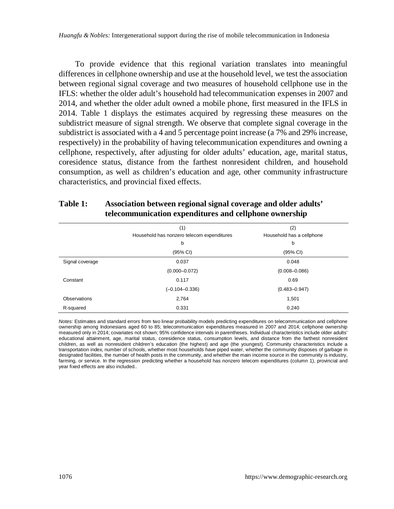*Huangfu & Nobles:* Intergenerational support during the rise of mobile telecommunication in Indonesia

To provide evidence that this regional variation translates into meaningful differences in cellphone ownership and use at the household level, we test the association between regional signal coverage and two measures of household cellphone use in the IFLS: whether the older adult's household had telecommunication expenses in 2007 and 2014, and whether the older adult owned a mobile phone, first measured in the IFLS in 2014. Table 1 displays the estimates acquired by regressing these measures on the subdistrict measure of signal strength. We observe that complete signal coverage in the subdistrict is associated with a 4 and 5 percentage point increase (a 7% and 29% increase, respectively) in the probability of having telecommunication expenditures and owning a cellphone, respectively, after adjusting for older adults' education, age, marital status, coresidence status, distance from the farthest nonresident children, and household consumption, as well as children's education and age, other community infrastructure characteristics, and provincial fixed effects.

|                 | (1)                                        | (2)                       |  |
|-----------------|--------------------------------------------|---------------------------|--|
|                 | Household has nonzero telecom expenditures | Household has a cellphone |  |
|                 | b                                          | b                         |  |
|                 | (95% CI)                                   | (95% CI)                  |  |
| Signal coverage | 0.037                                      | 0.048                     |  |
|                 | $(0.000 - 0.072)$                          | $(0.008 - 0.086)$         |  |
| Constant        | 0.117                                      | 0.69                      |  |
|                 | $(-0.104 - 0.336)$                         | $(0.483 - 0.947)$         |  |
| Observations    | 2,764                                      | 1,501                     |  |
| R-squared       | 0.331                                      | 0.240                     |  |

#### **Table 1: Association between regional signal coverage and older adults' telecommunication expenditures and cellphone ownership**

*Notes:* Estimates and standard errors from two linear probability models predicting expenditures on telecommunication and cellphone ownership among Indonesians aged 60 to 85; telecommunication expenditures measured in 2007 and 2014; cellphone ownership measured only in 2014; covariates not shown; 95% confidence intervals in parentheses. Individual characteristics include older adults' educational attainment, age, marital status, coresidence status, consumption levels, and distance from the farthest nonresident children, as well as nonresident children's education (the highest) and age (the youngest). Community characteristics include a transportation index, number of schools, whether most households have piped water, whether the community disposes of garbage in designated facilities, the number of health posts in the community, and whether the main income source in the community is industry, farming, or service. In the regression predicting whether a household has nonzero telecom expenditures (column 1), provincial and year fixed effects are also included..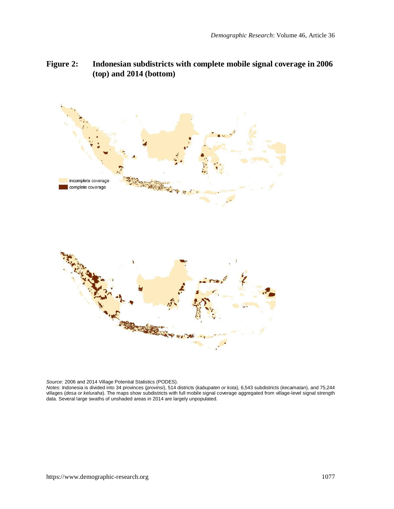**Figure 2: Indonesian subdistricts with complete mobile signal coverage in 2006 (top) and 2014 (bottom)**



*Source: 2006 a*nd 2014 Village Potential Statistics (PODES).<br>*Notes: I*ndonesia is divided into 34 provinces (*provins*), 514 districts (*kabupaten or kota*), 6,543 subdistricts (*kecamatan*), and 75,244<br>villages (*desa o* data. Several large swaths of unshaded areas in 2014 are largely unpopulated.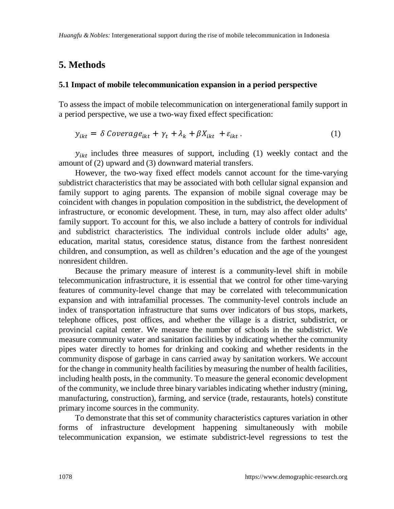## **5. Methods**

#### **5.1 Impact of mobile telecommunication expansion in a period perspective**

To assess the impact of mobile telecommunication on intergenerational family support in a period perspective, we use a two-way fixed effect specification:

$$
y_{ikt} = \delta \text{Coverage}_{ikt} + \gamma_t + \lambda_k + \beta X_{ikt} + \varepsilon_{ikt} \tag{1}
$$

 $y_{ikt}$  includes three measures of support, including (1) weekly contact and the amount of (2) upward and (3) downward material transfers.

However, the two-way fixed effect models cannot account for the time-varying subdistrict characteristics that may be associated with both cellular signal expansion and family support to aging parents. The expansion of mobile signal coverage may be coincident with changes in population composition in the subdistrict, the development of infrastructure, or economic development. These, in turn, may also affect older adults' family support. To account for this, we also include a battery of controls for individual and subdistrict characteristics. The individual controls include older adults' age, education, marital status, coresidence status, distance from the farthest nonresident children, and consumption, as well as children's education and the age of the youngest nonresident children.

Because the primary measure of interest is a community-level shift in mobile telecommunication infrastructure, it is essential that we control for other time-varying features of community-level change that may be correlated with telecommunication expansion and with intrafamilial processes. The community-level controls include an index of transportation infrastructure that sums over indicators of bus stops, markets, telephone offices, post offices, and whether the village is a district, subdistrict, or provincial capital center. We measure the number of schools in the subdistrict. We measure community water and sanitation facilities by indicating whether the community pipes water directly to homes for drinking and cooking and whether residents in the community dispose of garbage in cans carried away by sanitation workers. We account for the change in community health facilities by measuring the number of health facilities, including health posts, in the community. To measure the general economic development of the community, we include three binary variables indicating whether industry (mining, manufacturing, construction), farming, and service (trade, restaurants, hotels) constitute primary income sources in the community.

To demonstrate that this set of community characteristics captures variation in other forms of infrastructure development happening simultaneously with mobile telecommunication expansion, we estimate subdistrict-level regressions to test the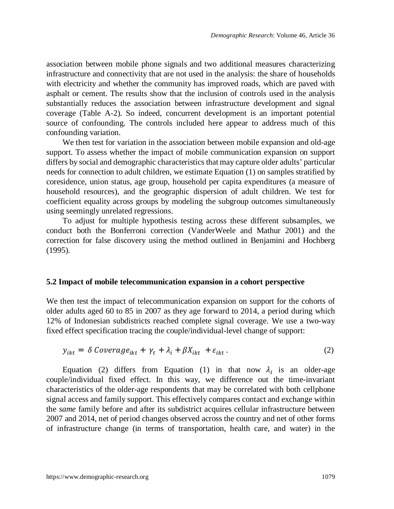association between mobile phone signals and two additional measures characterizing infrastructure and connectivity that are not used in the analysis: the share of households with electricity and whether the community has improved roads, which are paved with asphalt or cement. The results show that the inclusion of controls used in the analysis substantially reduces the association between infrastructure development and signal coverage (Table A-2). So indeed, concurrent development is an important potential source of confounding. The controls included here appear to address much of this confounding variation.

We then test for variation in the association between mobile expansion and old-age support. To assess whether the impact of mobile communication expansion on support differs by social and demographic characteristics that may capture older adults' particular needs for connection to adult children, we estimate Equation (1) on samples stratified by coresidence, union status, age group, household per capita expenditures (a measure of household resources), and the geographic dispersion of adult children. We test for coefficient equality across groups by modeling the subgroup outcomes simultaneously using seemingly unrelated regressions.

To adjust for multiple hypothesis testing across these different subsamples, we conduct both the Bonferroni correction (VanderWeele and Mathur 2001) and the correction for false discovery using the method outlined in Benjamini and Hochberg (1995).

#### **5.2 Impact of mobile telecommunication expansion in a cohort perspective**

We then test the impact of telecommunication expansion on support for the cohorts of older adults aged 60 to 85 in 2007 as they age forward to 2014, a period during which 12% of Indonesian subdistricts reached complete signal coverage. We use a two-way fixed effect specification tracing the couple/individual-level change of support:

$$
y_{ikt} = \delta \text{Coverage}_{ikt} + \gamma_t + \lambda_i + \beta X_{ikt} + \varepsilon_{ikt} \,. \tag{2}
$$

Equation (2) differs from Equation (1) in that now  $\lambda_i$  is an older-age couple/individual fixed effect. In this way, we difference out the time-invariant characteristics of the older-age respondents that may be correlated with both cellphone signal access and family support. This effectively compares contact and exchange within the *same* family before and after its subdistrict acquires cellular infrastructure between 2007 and 2014, net of period changes observed across the country and net of other forms of infrastructure change (in terms of transportation, health care, and water) in the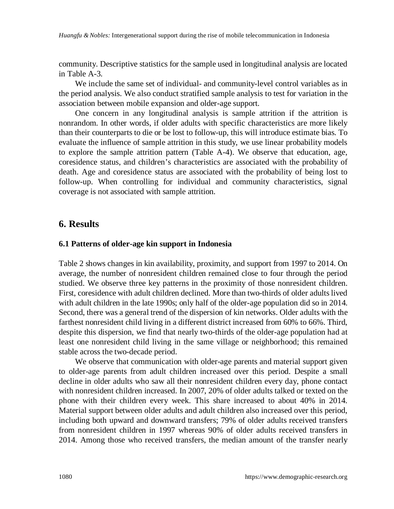community. Descriptive statistics for the sample used in longitudinal analysis are located in Table A-3.

We include the same set of individual- and community-level control variables as in the period analysis. We also conduct stratified sample analysis to test for variation in the association between mobile expansion and older-age support.

One concern in any longitudinal analysis is sample attrition if the attrition is nonrandom. In other words, if older adults with specific characteristics are more likely than their counterparts to die or be lost to follow-up, this will introduce estimate bias. To evaluate the influence of sample attrition in this study, we use linear probability models to explore the sample attrition pattern (Table A-4). We observe that education, age, coresidence status, and children's characteristics are associated with the probability of death. Age and coresidence status are associated with the probability of being lost to follow-up. When controlling for individual and community characteristics, signal coverage is not associated with sample attrition.

### **6. Results**

#### **6.1 Patterns of older-age kin support in Indonesia**

Table 2 shows changes in kin availability, proximity, and support from 1997 to 2014. On average, the number of nonresident children remained close to four through the period studied. We observe three key patterns in the proximity of those nonresident children. First, coresidence with adult children declined. More than two-thirds of older adults lived with adult children in the late 1990s; only half of the older-age population did so in 2014. Second, there was a general trend of the dispersion of kin networks. Older adults with the farthest nonresident child living in a different district increased from 60% to 66%. Third, despite this dispersion, we find that nearly two-thirds of the older-age population had at least one nonresident child living in the same village or neighborhood; this remained stable across the two-decade period.

We observe that communication with older-age parents and material support given to older-age parents from adult children increased over this period. Despite a small decline in older adults who saw all their nonresident children every day, phone contact with nonresident children increased. In 2007, 20% of older adults talked or texted on the phone with their children every week. This share increased to about 40% in 2014. Material support between older adults and adult children also increased over this period, including both upward and downward transfers; 79% of older adults received transfers from nonresident children in 1997 whereas 90% of older adults received transfers in 2014. Among those who received transfers, the median amount of the transfer nearly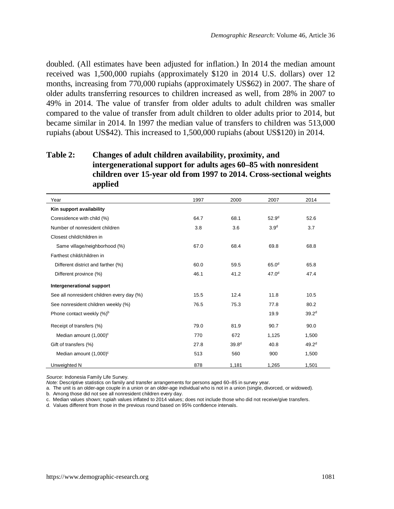doubled. (All estimates have been adjusted for inflation.) In 2014 the median amount received was 1,500,000 rupiahs (approximately \$120 in 2014 U.S. dollars) over 12 months, increasing from 770,000 rupiahs (approximately US\$62) in 2007. The share of older adults transferring resources to children increased as well, from 28% in 2007 to 49% in 2014. The value of transfer from older adults to adult children was smaller compared to the value of transfer from adult children to older adults prior to 2014, but became similar in 2014. In 1997 the median value of transfers to children was 513,000 rupiahs (about US\$42). This increased to 1,500,000 rupiahs (about US\$120) in 2014.

### **Table 2: Changes of adult children availability, proximity, and intergenerational support for adults ages 60–85 with nonresident children over 15-year old from 1997 to 2014. Cross-sectional weights applied**

| Year                                       | 1997 | 2000              | 2007              | 2014              |
|--------------------------------------------|------|-------------------|-------------------|-------------------|
| Kin support availability                   |      |                   |                   |                   |
| Coresidence with child (%)                 | 64.7 | 68.1              | 52.9 <sup>d</sup> | 52.6              |
| Number of nonresident children             | 3.8  | 3.6               | 3.9 <sup>d</sup>  | 3.7               |
| Closest child/children in                  |      |                   |                   |                   |
| Same village/neighborhood (%)              | 67.0 | 68.4              | 69.8              | 68.8              |
| Farthest child/children in                 |      |                   |                   |                   |
| Different district and farther (%)         | 60.0 | 59.5              | 65.0 <sup>d</sup> | 65.8              |
| Different province (%)                     | 46.1 | 41.2              | 47.0 <sup>d</sup> | 47.4              |
| Intergenerational support                  |      |                   |                   |                   |
| See all nonresident children every day (%) | 15.5 | 12.4              | 11.8              | 10.5              |
| See nonresident children weekly (%)        | 76.5 | 75.3              | 77.8              | 80.2              |
| Phone contact weekly (%) <sup>b</sup>      |      |                   | 19.9              | $39.2^d$          |
| Receipt of transfers (%)                   | 79.0 | 81.9              | 90.7              | 90.0              |
| Median amount (1,000) <sup>c</sup>         | 770  | 672               | 1,125             | 1,500             |
| Gift of transfers (%)                      | 27.8 | 39.8 <sup>d</sup> | 40.8              | 49.2 <sup>d</sup> |
| Median amount (1,000) <sup>c</sup>         | 513  | 560               | 900               | 1,500             |
| Unweighted N                               | 878  | 1,181             | 1,265             | 1,501             |

*Source*: Indonesia Family Life Survey.

*Note:* Descriptive statistics on family and transfer arrangements for persons aged 60–85 in survey year.

a. The unit is an older-age couple in a union or an older-age individual who is not in a union (single, divorced, or widowed). b. Among those did not see all nonresident children every day.

c. Median values shown; rupiah values inflated to 2014 values; does not include those who did not receive/give transfers.

d. Values different from those in the previous round based on 95% confidence intervals.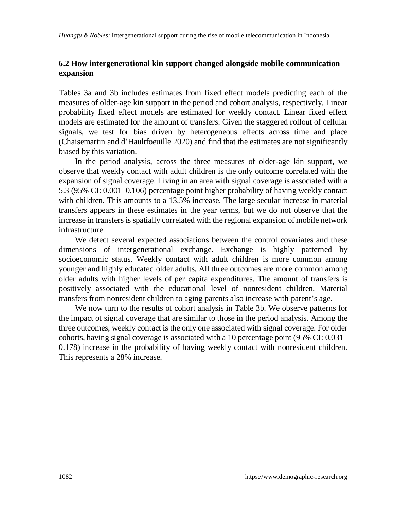#### **6.2 How intergenerational kin support changed alongside mobile communication expansion**

Tables 3a and 3b includes estimates from fixed effect models predicting each of the measures of older-age kin support in the period and cohort analysis, respectively. Linear probability fixed effect models are estimated for weekly contact. Linear fixed effect models are estimated for the amount of transfers. Given the staggered rollout of cellular signals, we test for bias driven by heterogeneous effects across time and place (Chaisemartin and d'Haultfoeuille 2020) and find that the estimates are not significantly biased by this variation.

In the period analysis, across the three measures of older-age kin support, we observe that weekly contact with adult children is the only outcome correlated with the expansion of signal coverage. Living in an area with signal coverage is associated with a 5.3 (95% CI: 0.001–0.106) percentage point higher probability of having weekly contact with children. This amounts to a 13.5% increase. The large secular increase in material transfers appears in these estimates in the year terms, but we do not observe that the increase in transfers is spatially correlated with the regional expansion of mobile network infrastructure.

We detect several expected associations between the control covariates and these dimensions of intergenerational exchange. Exchange is highly patterned by socioeconomic status. Weekly contact with adult children is more common among younger and highly educated older adults. All three outcomes are more common among older adults with higher levels of per capita expenditures. The amount of transfers is positively associated with the educational level of nonresident children. Material transfers from nonresident children to aging parents also increase with parent's age.

We now turn to the results of cohort analysis in Table 3b. We observe patterns for the impact of signal coverage that are similar to those in the period analysis. Among the three outcomes, weekly contact is the only one associated with signal coverage. For older cohorts, having signal coverage is associated with a 10 percentage point (95% CI: 0.031– 0.178) increase in the probability of having weekly contact with nonresident children. This represents a 28% increase.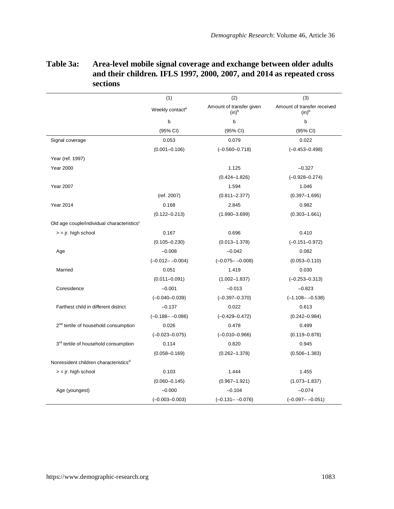| Table 3a: | Area-level mobile signal coverage and exchange between older adults   |
|-----------|-----------------------------------------------------------------------|
|           | and their children. IFLS 1997, 2000, 2007, and 2014 as repeated cross |
|           | sections                                                              |

|                                                        | (1)                         | (2)                                  | (3)                                     |
|--------------------------------------------------------|-----------------------------|--------------------------------------|-----------------------------------------|
|                                                        | Weekly contact <sup>a</sup> | Amount of transfer given<br>$(in)^b$ | Amount of transfer received<br>$(in)^b$ |
|                                                        | b                           | b                                    | b                                       |
|                                                        | (95% CI)                    | (95% CI)                             | (95% CI)                                |
| Signal coverage                                        | 0.053                       | 0.079                                | 0.022                                   |
|                                                        | $(0.001 - 0.106)$           | $(-0.560 - 0.718)$                   | $(-0.453 - 0.498)$                      |
| Year (ref. 1997)                                       |                             |                                      |                                         |
| <b>Year 2000</b>                                       |                             | 1.125                                | $-0.327$                                |
|                                                        |                             | $(0.424 - 1.826)$                    | $(-0.928 - 0.274)$                      |
| <b>Year 2007</b>                                       |                             | 1.594                                | 1.046                                   |
|                                                        | (ref. 2007)                 | $(0.811 - 2.377)$                    | $(0.397 - 1.695)$                       |
| <b>Year 2014</b>                                       | 0.168                       | 2.845                                | 0.982                                   |
|                                                        | $(0.122 - 0.213)$           | $(1.990 - 3.699)$                    | $(0.303 - 1.661)$                       |
| Old age couple/individual characteristics <sup>c</sup> |                             |                                      |                                         |
| $=$ jr. high school                                    | 0.167                       | 0.696                                | 0.410                                   |
|                                                        | $(0.105 - 0.230)$           | $(0.013 - 1.378)$                    | $(-0.151 - 0.972)$                      |
| Age                                                    | $-0.008$                    | $-0.042$                             | 0.082                                   |
|                                                        | $(-0.012 - -0.004)$         | $(-0.075 - -0.008)$                  | $(0.053 - 0.110)$                       |
| Married                                                | 0.051                       | 1.419                                | 0.030                                   |
|                                                        | $(0.011 - 0.091)$           | $(1.002 - 1.837)$                    | $(-0.253 - 0.313)$                      |
| Coresidence                                            | $-0.001$                    | $-0.013$                             | $-0.823$                                |
|                                                        | $(-0.040 - 0.039)$          | $(-0.397 - 0.370)$                   | $(-1.108 - -0.538)$                     |
| Farthest child in different district                   | $-0.137$                    | 0.022                                | 0.613                                   |
|                                                        | $(-0.188 - -0.086)$         | $(-0.429 - 0.472)$                   | $(0.242 - 0.984)$                       |
| 2 <sup>nd</sup> tertile of household consumption       | 0.026                       | 0.478                                | 0.499                                   |
|                                                        | $(-0.023 - 0.075)$          | $(-0.010 - 0.966)$                   | $(0.119 - 0.878)$                       |
| 3 <sup>rd</sup> tertile of household consumption       | 0.114                       | 0.820                                | 0.945                                   |
|                                                        | $(0.058 - 0.169)$           | $(0.262 - 1.378)$                    | $(0.506 - 1.383)$                       |
| Nonresident children characteristics <sup>d</sup>      |                             |                                      |                                         |
| $=$ $\vert r.$ high school                             | 0.103                       | 1.444                                | 1.455                                   |
|                                                        | $(0.060 - 0.145)$           | $(0.967 - 1.921)$                    | $(1.073 - 1.837)$                       |
| Age (youngest)                                         | $-0.000$                    | $-0.104$                             | $-0.074$                                |
|                                                        | $(-0.003 - 0.003)$          | $(-0.131 - -0.076)$                  | $(-0.097 - -0.051)$                     |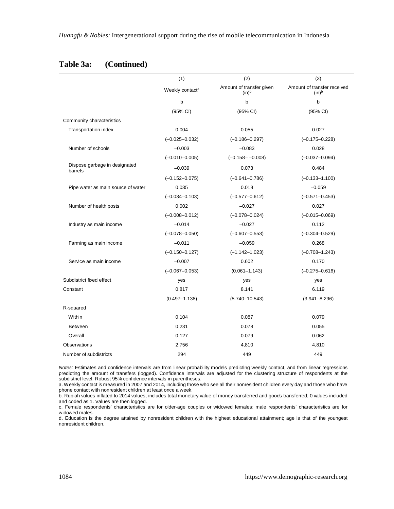|                                          | (1)                         | (2)                                  | (3)                                              |
|------------------------------------------|-----------------------------|--------------------------------------|--------------------------------------------------|
|                                          | Weekly contact <sup>a</sup> | Amount of transfer given<br>$(in)^b$ | Amount of transfer received<br>(in) <sup>b</sup> |
|                                          | $\mathbf b$                 | b                                    | b                                                |
|                                          | (95% CI)                    | (95% CI)                             | (95% CI)                                         |
| Community characteristics                |                             |                                      |                                                  |
| Transportation index                     | 0.004                       | 0.055                                | 0.027                                            |
|                                          | $(-0.025 - 0.032)$          | $(-0.186 - 0.297)$                   | $(-0.175 - 0.228)$                               |
| Number of schools                        | $-0.003$                    | $-0.083$                             | 0.028                                            |
|                                          | $(-0.010 - 0.005)$          | $(-0.158 - -0.008)$                  | $(-0.037 - 0.094)$                               |
| Dispose garbage in designated<br>barrels | $-0.039$                    | 0.073                                | 0.484                                            |
|                                          | $(-0.152 - 0.075)$          | $(-0.641 - 0.786)$                   | $(-0.133 - 1.100)$                               |
| Pipe water as main source of water       | 0.035                       | 0.018                                | $-0.059$                                         |
|                                          | $(-0.034 - 0.103)$          | $(-0.577 - 0.612)$                   | $(-0.571 - 0.453)$                               |
| Number of health posts                   | 0.002                       | $-0.027$                             | 0.027                                            |
|                                          | $(-0.008 - 0.012)$          | $(-0.078 - 0.024)$                   | $(-0.015 - 0.069)$                               |
| Industry as main income                  | $-0.014$                    | $-0.027$                             | 0.112                                            |
|                                          | $(-0.078 - 0.050)$          | $(-0.607 - 0.553)$                   | $(-0.304 - 0.529)$                               |
| Farming as main income                   | $-0.011$                    | $-0.059$                             | 0.268                                            |
|                                          | $(-0.150 - 0.127)$          | $(-1.142 - 1.023)$                   | $(-0.708 - 1.243)$                               |
| Service as main income                   | $-0.007$                    | 0.602                                | 0.170                                            |
|                                          | $(-0.067 - 0.053)$          | $(0.061 - 1.143)$                    | $(-0.275 - 0.616)$                               |
| Subdistrict fixed effect                 | yes                         | yes                                  | yes                                              |
| Constant                                 | 0.817                       | 8.141                                | 6.119                                            |
|                                          | $(0.497 - 1.138)$           | $(5.740 - 10.543)$                   | $(3.941 - 8.296)$                                |
| R-squared                                |                             |                                      |                                                  |
| Within                                   | 0.104                       | 0.087                                | 0.079                                            |
| Between                                  | 0.231                       | 0.078                                | 0.055                                            |
| Overall                                  | 0.127                       | 0.079                                | 0.062                                            |
| Observations                             | 2,756                       | 4,810                                | 4,810                                            |
| Number of subdistricts                   | 294                         | 449                                  | 449                                              |

#### **Table 3a: (Continued)**

*Notes:* Estimates and confidence intervals are from linear probability models predicting weekly contact, and from linear regressions predicting the amount of transfers (logged). Confidence intervals are adjusted for the clustering structure of respondents at the subdistrict level. Robust 95% confidence intervals in parentheses.

a. Weekly contact is measured in 2007 and 2014, including those who see all their nonresident children every day and those who have phone contact with nonresident children at least once a week.

b. Rupiah values inflated to 2014 values; includes total monetary value of money transferred and goods transferred; 0 values included and coded as 1. Values are then logged.

c. Female respondents' characteristics are for older-age couples or widowed females; male respondents' characteristics are for widowed males.

d. Education is the degree attained by nonresident children with the highest educational attainment; age is that of the youngest nonresident children.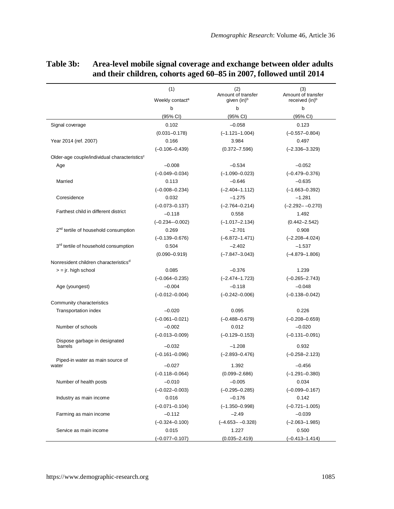|                                                          | (1)                         | (2)<br>Amount of transfer | (3)<br>Amount of transfer  |
|----------------------------------------------------------|-----------------------------|---------------------------|----------------------------|
|                                                          | Weekly contact <sup>a</sup> | given (in) <sup>b</sup>   | received (in) <sup>b</sup> |
|                                                          | b                           | b                         | b                          |
|                                                          | (95% CI)                    | (95% CI)                  | (95% CI)                   |
| Signal coverage                                          | 0.102                       | $-0.058$                  | 0.123                      |
|                                                          | $(0.031 - 0.178)$           | $(-1.121 - 1.004)$        | $(-0.557 - 0.804)$         |
| Year 2014 (ref. 2007)                                    | 0.166                       | 3.984                     | 0.497                      |
|                                                          | $(-0.106 - 0.439)$          | $(0.372 - 7.596)$         | $(-2.336 - 3.329)$         |
| Older-age couple/individual characteristics <sup>c</sup> |                             |                           |                            |
| Age                                                      | $-0.008$                    | $-0.534$                  | $-0.052$                   |
|                                                          | $(-0.049 - 0.034)$          | $(-1.090 - 0.023)$        | $(-0.479 - 0.376)$         |
| Married                                                  | 0.113                       | $-0.646$                  | $-0.635$                   |
|                                                          | $(-0.008 - 0.234)$          | $(-2.404 - 1.112)$        | $(-1.663 - 0.392)$         |
| Coresidence                                              | 0.032                       | $-1.275$                  | $-1.281$                   |
|                                                          | $(-0.073 - 0.137)$          | $(-2.764 - 0.214)$        | $(-2.292 - -0.270)$        |
| Farthest child in different district                     | $-0.118$                    | 0.558                     | 1.492                      |
|                                                          | $(-0.234 - 0.002)$          | $(-1.017 - 2.134)$        | $(0.442 - 2.542)$          |
| 2 <sup>nd</sup> tertile of household consumption         | 0.269                       | $-2.701$                  | 0.908                      |
|                                                          | $(-0.139 - 0.676)$          | $(-6.872 - 1.471)$        | $(-2.208 - 4.024)$         |
| 3 <sup>rd</sup> tertile of household consumption         | 0.504                       | $-2.402$                  | $-1.537$                   |
|                                                          | $(0.090 - 0.919)$           | $(-7.847 - 3.043)$        | $(-4.879 - 1.806)$         |
| Nonresident children characteristics <sup>d</sup>        |                             |                           |                            |
| $=$ ir. high school                                      | 0.085                       | $-0.376$                  | 1.239                      |
|                                                          | $(-0.064 - 0.235)$          | $(-2.474 - 1.723)$        | $(-0.265 - 2.743)$         |
| Age (youngest)                                           | $-0.004$                    | $-0.118$                  | $-0.048$                   |
|                                                          | $(-0.012 - 0.004)$          | $(-0.242 - 0.006)$        | $(-0.138 - 0.042)$         |
| Community characteristics                                |                             |                           |                            |
| Transportation index                                     | $-0.020$                    | 0.095                     | 0.226                      |
|                                                          | $(-0.061 - 0.021)$          | $(-0.488 - 0.679)$        | $(-0.208 - 0.659)$         |
| Number of schools                                        | $-0.002$                    | 0.012                     | $-0.020$                   |
|                                                          | $(-0.013 - 0.009)$          | $(-0.129 - 0.153)$        | $(-0.131 - 0.091)$         |
| Dispose garbage in designated<br>barrels                 | $-0.032$                    | $-1.208$                  | 0.932                      |
|                                                          | $(-0.161 - 0.096)$          | $(-2.893 - 0.476)$        | $(-0.258 - 2.123)$         |
| Piped-in water as main source of                         |                             |                           |                            |
| water                                                    | $-0.027$                    | 1.392                     | $-0.456$                   |
|                                                          | $(-0.118 - 0.064)$          | $(0.099 - 2.686)$         | $(-1.291 - 0.380)$         |
| Number of health posts                                   | $-0.010$                    | $-0.005$                  | 0.034                      |
|                                                          | $(-0.022 - 0.003)$          | $(-0.295 - 0.285)$        | $(-0.099 - 0.167)$         |
| Industry as main income                                  | 0.016                       | $-0.176$                  | 0.142                      |
|                                                          | $(-0.071 - 0.104)$          | $(-1.350 - 0.998)$        | $(-0.721 - 1.005)$         |
| Farming as main income                                   | $-0.112$                    | $-2.49$                   | $-0.039$                   |
|                                                          | $(-0.324 - 0.100)$          | $(-4.653 - -0.328)$       | $(-2.063 - 1.985)$         |
| Service as main income                                   | 0.015                       | 1.227                     | 0.500                      |
|                                                          | $(-0.077 - 0.107)$          | $(0.035 - 2.419)$         | $(-0.413 - 1.414)$         |

### **Table 3b: Area-level mobile signal coverage and exchange between older adults and their children, cohorts aged 60–85 in 2007, followed until 2014**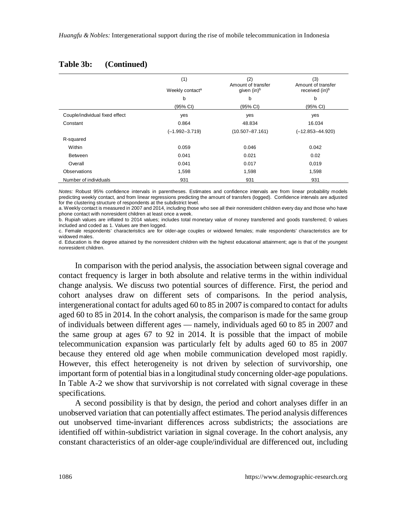|                                | (1)<br>Weekly contact <sup>a</sup> | (2)<br>Amount of transfer<br>given (in) <sup>b</sup> | (3)<br>Amount of transfer<br>received (in) <sup>b</sup> |
|--------------------------------|------------------------------------|------------------------------------------------------|---------------------------------------------------------|
|                                | b                                  | b                                                    | b                                                       |
|                                | (95% CI)                           | (95% CI)                                             | (95% CI)                                                |
| Couple/individual fixed effect | yes                                | yes                                                  | yes                                                     |
| Constant                       | 0.864                              | 48.834                                               | 16.034                                                  |
|                                | $(-1.992 - 3.719)$                 | $(10.507 - 87.161)$                                  | $(-12.853 - 44.920)$                                    |
| R-squared                      |                                    |                                                      |                                                         |
| Within                         | 0.059                              | 0.046                                                | 0.042                                                   |
| <b>Between</b>                 | 0.041                              | 0.021                                                | 0.02                                                    |
| Overall                        | 0.041                              | 0.017                                                | 0,019                                                   |
| Observations                   | 1,598                              | 1,598                                                | 1,598                                                   |
| Number of individuals          | 931                                | 931                                                  | 931                                                     |

#### **Table 3b: (Continued)**

*Notes:* Robust 95% confidence intervals in parentheses. Estimates and confidence intervals are from linear probability models predicting weekly contact, and from linear regressions predicting the amount of transfers (logged). Confidence intervals are adjusted for the clustering structure of respondents at the subdistrict level.

a. Weekly contact is measured in 2007 and 2014, including those who see all their nonresident children every day and those who have phone contact with nonresident children at least once a week.

b. Rupiah values are inflated to 2014 values; includes total monetary value of money transferred and goods transferred; 0 values included and coded as 1. Values are then logged.

c. Female respondents' characteristics are for older-age couples or widowed females; male respondents' characteristics are for widowed males.

d. Education is the degree attained by the nonresident children with the highest educational attainment; age is that of the youngest nonresident children.

In comparison with the period analysis, the association between signal coverage and contact frequency is larger in both absolute and relative terms in the within individual change analysis. We discuss two potential sources of difference. First, the period and cohort analyses draw on different sets of comparisons. In the period analysis, intergenerational contact for adults aged 60 to 85 in 2007 is compared to contact for adults aged 60 to 85 in 2014. In the cohort analysis, the comparison is made for the same group of individuals between different ages — namely, individuals aged 60 to 85 in 2007 and the same group at ages 67 to 92 in 2014. It is possible that the impact of mobile telecommunication expansion was particularly felt by adults aged 60 to 85 in 2007 because they entered old age when mobile communication developed most rapidly. However, this effect heterogeneity is not driven by selection of survivorship, one important form of potential bias in a longitudinal study concerning older-age populations. In Table A-2 we show that survivorship is not correlated with signal coverage in these specifications.

A second possibility is that by design, the period and cohort analyses differ in an unobserved variation that can potentially affect estimates. The period analysis differences out unobserved time-invariant differences across subdistricts; the associations are identified off within-subdistrict variation in signal coverage. In the cohort analysis, any constant characteristics of an older-age couple/individual are differenced out, including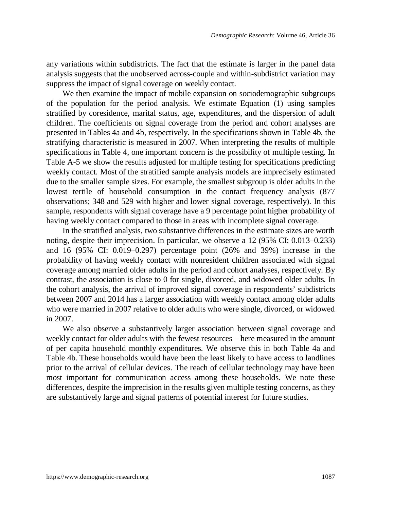any variations within subdistricts. The fact that the estimate is larger in the panel data analysis suggests that the unobserved across-couple and within-subdistrict variation may suppress the impact of signal coverage on weekly contact.

We then examine the impact of mobile expansion on sociodemographic subgroups of the population for the period analysis. We estimate Equation (1) using samples stratified by coresidence, marital status, age, expenditures, and the dispersion of adult children. The coefficients on signal coverage from the period and cohort analyses are presented in Tables 4a and 4b, respectively. In the specifications shown in Table 4b, the stratifying characteristic is measured in 2007. When interpreting the results of multiple specifications in Table 4, one important concern is the possibility of multiple testing. In Table A-5 we show the results adjusted for multiple testing for specifications predicting weekly contact. Most of the stratified sample analysis models are imprecisely estimated due to the smaller sample sizes. For example, the smallest subgroup is older adults in the lowest tertile of household consumption in the contact frequency analysis (877 observations; 348 and 529 with higher and lower signal coverage, respectively). In this sample, respondents with signal coverage have a 9 percentage point higher probability of having weekly contact compared to those in areas with incomplete signal coverage.

In the stratified analysis, two substantive differences in the estimate sizes are worth noting, despite their imprecision. In particular, we observe a 12 (95% CI: 0.013–0.233) and 16 (95% CI: 0.019–0.297) percentage point (26% and 39%) increase in the probability of having weekly contact with nonresident children associated with signal coverage among married older adults in the period and cohort analyses, respectively. By contrast, the association is close to 0 for single, divorced, and widowed older adults. In the cohort analysis, the arrival of improved signal coverage in respondents' subdistricts between 2007 and 2014 has a larger association with weekly contact among older adults who were married in 2007 relative to older adults who were single, divorced, or widowed in 2007.

We also observe a substantively larger association between signal coverage and weekly contact for older adults with the fewest resources – here measured in the amount of per capita household monthly expenditures. We observe this in both Table 4a and Table 4b. These households would have been the least likely to have access to landlines prior to the arrival of cellular devices. The reach of cellular technology may have been most important for communication access among these households. We note these differences, despite the imprecision in the results given multiple testing concerns, as they are substantively large and signal patterns of potential interest for future studies.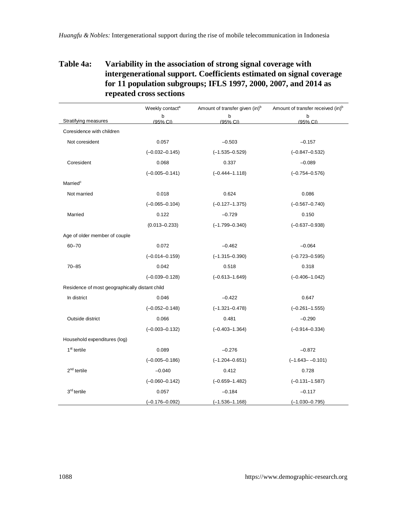### **Table 4a: Variability in the association of strong signal coverage with intergenerational support. Coefficients estimated on signal coverage for 11 population subgroups; IFLS 1997, 2000, 2007, and 2014 as repeated cross sections**

|                                                | Weekly contact <sup>a</sup> | Amount of transfer given (in) <sup>b</sup> | Amount of transfer received (in) <sup>b</sup> |
|------------------------------------------------|-----------------------------|--------------------------------------------|-----------------------------------------------|
| Stratifying measures                           | b<br>(95% CI)               | b<br>(95% CI)                              | b<br>(95% CI)                                 |
| Coresidence with children                      |                             |                                            |                                               |
| Not coresident                                 | 0.057                       | $-0.503$                                   | $-0.157$                                      |
|                                                | $(-0.032 - 0.145)$          | $(-1.535 - 0.529)$                         | $(-0.847 - 0.532)$                            |
| Coresident                                     | 0.068                       | 0.337                                      | $-0.089$                                      |
|                                                | $(-0.005 - 0.141)$          | $(-0.444 - 1.118)$                         | $(-0.754 - 0.576)$                            |
| Married <sup>c</sup>                           |                             |                                            |                                               |
| Not married                                    | 0.018                       | 0.624                                      | 0.086                                         |
|                                                | $(-0.065 - 0.104)$          | $(-0.127 - 1.375)$                         | $(-0.567 - 0.740)$                            |
| Married                                        | 0.122                       | $-0.729$                                   | 0.150                                         |
|                                                | $(0.013 - 0.233)$           | $(-1.799 - 0.340)$                         | $(-0.637 - 0.938)$                            |
| Age of older member of couple                  |                             |                                            |                                               |
| $60 - 70$                                      | 0.072                       | $-0.462$                                   | $-0.064$                                      |
|                                                | $(-0.014 - 0.159)$          | $(-1.315 - 0.390)$                         | $(-0.723 - 0.595)$                            |
| $70 - 85$                                      | 0.042                       | 0.518                                      | 0.318                                         |
|                                                | $(-0.039 - 0.128)$          | $(-0.613 - 1.649)$                         | $(-0.406 - 1.042)$                            |
| Residence of most geographically distant child |                             |                                            |                                               |
| In district                                    | 0.046                       | $-0.422$                                   | 0.647                                         |
|                                                | $(-0.052 - 0.148)$          | $(-1.321 - 0.478)$                         | $(-0.261 - 1.555)$                            |
| Outside district                               | 0.066                       | 0.481                                      | $-0.290$                                      |
|                                                | $(-0.003 - 0.132)$          | $(-0.403 - 1.364)$                         | $(-0.914 - 0.334)$                            |
| Household expenditures (log)                   |                             |                                            |                                               |
| 1 <sup>st</sup> tertile                        | 0.089                       | $-0.276$                                   | $-0.872$                                      |
|                                                | $(-0.005 - 0.186)$          | $(-1.204 - 0.651)$                         | $(-1.643 - -0.101)$                           |
| $2nd$ tertile                                  | $-0.040$                    | 0.412                                      | 0.728                                         |
|                                                | $(-0.060 - 0.142)$          | $(-0.659 - 1.482)$                         | $(-0.131 - 1.587)$                            |
| 3rd tertile                                    | 0.057                       | $-0.184$                                   | $-0.117$                                      |
|                                                | $(-0.176 - 0.092)$          | $(-1.536 - 1.168)$                         | $(-1.030 - 0.795)$                            |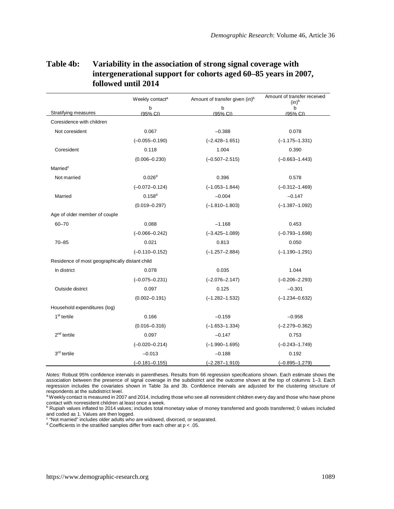|                                                | Weekly contact <sup>a</sup> | Amount of transfer given (in) <sup>b</sup> | Amount of transfer received<br>$(in)^b$ |
|------------------------------------------------|-----------------------------|--------------------------------------------|-----------------------------------------|
| Stratifying measures                           | b<br>(95% CI)               | b<br>(95% CI)                              | b<br>(95% CI)                           |
| Coresidence with children                      |                             |                                            |                                         |
| Not coresident                                 | 0.067                       | $-0.388$                                   | 0.078                                   |
|                                                | $(-0.055 - 0.190)$          | $(-2.428 - 1.651)$                         | $(-1.175 - 1.331)$                      |
| Coresident                                     | 0.118                       | 1.004                                      | 0.390                                   |
|                                                | $(0.006 - 0.230)$           | $(-0.507 - 2.515)$                         | $(-0.663 - 1.443)$                      |
| Married <sup>c</sup>                           |                             |                                            |                                         |
| Not married                                    | 0.026 <sup>d</sup>          | 0.396                                      | 0.578                                   |
|                                                | $(-0.072 - 0.124)$          | $(-1.053 - 1.844)$                         | $(-0.312 - 1.469)$                      |
| Married                                        | $0.158^{d}$                 | $-0.004$                                   | $-0.147$                                |
|                                                | $(0.019 - 0.297)$           | $(-1.810 - 1.803)$                         | $(-1.387 - 1.092)$                      |
| Age of older member of couple                  |                             |                                            |                                         |
| $60 - 70$                                      | 0.088                       | $-1.168$                                   | 0.453                                   |
|                                                | $(-0.066 - 0.242)$          | $(-3.425 - 1.089)$                         | $(-0.793 - 1.698)$                      |
| $70 - 85$                                      | 0.021                       | 0.813                                      | 0.050                                   |
|                                                | $(-0.110 - 0.152)$          | $(-1.257 - 2.884)$                         | $(-1.190 - 1.291)$                      |
| Residence of most geographically distant child |                             |                                            |                                         |
| In district                                    | 0.078                       | 0.035                                      | 1.044                                   |
|                                                | $(-0.075 - 0.231)$          | $(-2.076 - 2.147)$                         | $(-0.206 - 2.293)$                      |
| Outside district                               | 0.097                       | 0.125                                      | $-0.301$                                |
|                                                | $(0.002 - 0.191)$           | $(-1.282 - 1.532)$                         | $(-1.234 - 0.632)$                      |
| Household expenditures (log)                   |                             |                                            |                                         |
| 1 <sup>st</sup> tertile                        | 0.166                       | $-0.159$                                   | $-0.958$                                |
|                                                | $(0.016 - 0.316)$           | $(-1.653 - 1.334)$                         | $(-2.279 - 0.362)$                      |
| $2nd$ tertile                                  | 0.097                       | $-0.147$                                   | 0.753                                   |
|                                                | $(-0.020 - 0.214)$          | $(-1.990 - 1.695)$                         | $(-0.243 - 1.749)$                      |
| 3 <sup>rd</sup> tertile                        | $-0.013$                    | $-0.188$                                   | 0.192                                   |
|                                                | $(-0.181 - 0.155)$          | $(-2.287 - 1.910)$                         | $(-0.895 - 1.279)$                      |

#### **Table 4b: Variability in the association of strong signal coverage with intergenerational support for cohorts aged 60–85 years in 2007, followed until 2014**

*Notes:* Robust 95% confidence intervals in parentheses. Results from 66 regression specifications shown. Each estimate shows the association between the presence of signal coverage in the subdistrict and the outcome shown at the top of columns 1–3. Each regression includes the covariates shown in Table 3a and 3b. Confidence intervals are adjusted for the clustering structure of respondents at the subdistrict level.

<sup>a</sup> Weekly contact is measured in 2007 and 2014, including those who see all nonresident children every day and those who have phone

contact with nonresident children at least once a week.<br><sup>b</sup> Rupiah values inflated to 2014 values; includes total monetary value of money transferred and goods transferred; 0 values included and coded as 1. Values are then logged.

c "Not married" includes older adults who are widowed, divorced, or separated.

<sup>d</sup> Coefficients in the stratified samples differ from each other at p < .05.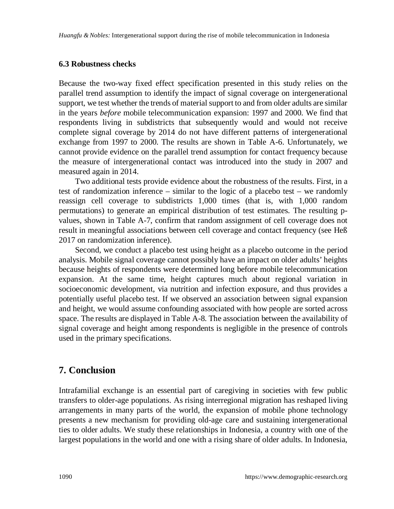#### **6.3 Robustness checks**

Because the two-way fixed effect specification presented in this study relies on the parallel trend assumption to identify the impact of signal coverage on intergenerational support, we test whether the trends of material support to and from older adults are similar in the years *before* mobile telecommunication expansion: 1997 and 2000. We find that respondents living in subdistricts that subsequently would and would not receive complete signal coverage by 2014 do not have different patterns of intergenerational exchange from 1997 to 2000. The results are shown in Table A-6. Unfortunately, we cannot provide evidence on the parallel trend assumption for contact frequency because the measure of intergenerational contact was introduced into the study in 2007 and measured again in 2014.

Two additional tests provide evidence about the robustness of the results. First, in a test of randomization inference – similar to the logic of a placebo test – we randomly reassign cell coverage to subdistricts 1,000 times (that is, with 1,000 random permutations) to generate an empirical distribution of test estimates. The resulting pvalues, shown in Table A-7, confirm that random assignment of cell coverage does not result in meaningful associations between cell coverage and contact frequency (see Heß 2017 on randomization inference).

Second, we conduct a placebo test using height as a placebo outcome in the period analysis. Mobile signal coverage cannot possibly have an impact on older adults' heights because heights of respondents were determined long before mobile telecommunication expansion. At the same time, height captures much about regional variation in socioeconomic development, via nutrition and infection exposure, and thus provides a potentially useful placebo test. If we observed an association between signal expansion and height, we would assume confounding associated with how people are sorted across space. The results are displayed in Table A-8. The association between the availability of signal coverage and height among respondents is negligible in the presence of controls used in the primary specifications.

## **7. Conclusion**

Intrafamilial exchange is an essential part of caregiving in societies with few public transfers to older-age populations. As rising interregional migration has reshaped living arrangements in many parts of the world, the expansion of mobile phone technology presents a new mechanism for providing old-age care and sustaining intergenerational ties to older adults. We study these relationships in Indonesia, a country with one of the largest populations in the world and one with a rising share of older adults. In Indonesia,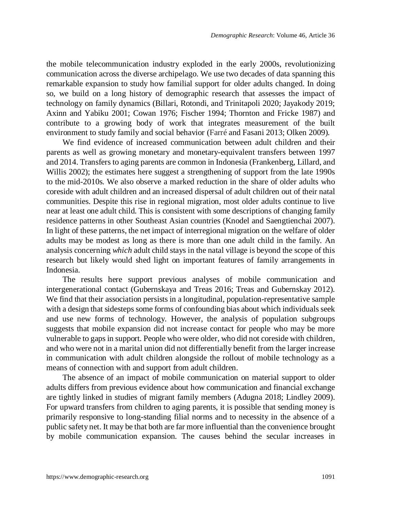the mobile telecommunication industry exploded in the early 2000s, revolutionizing communication across the diverse archipelago. We use two decades of data spanning this remarkable expansion to study how familial support for older adults changed. In doing so, we build on a long history of demographic research that assesses the impact of technology on family dynamics (Billari, Rotondi, and Trinitapoli 2020; Jayakody 2019; Axinn and Yabiku 2001; Cowan 1976; Fischer 1994; Thornton and Fricke 1987) and contribute to a growing body of work that integrates measurement of the built environment to study family and social behavior (Farré and Fasani 2013; Olken 2009).

We find evidence of increased communication between adult children and their parents as well as growing monetary and monetary-equivalent transfers between 1997 and 2014. Transfers to aging parents are common in Indonesia (Frankenberg, Lillard, and Willis 2002); the estimates here suggest a strengthening of support from the late 1990s to the mid-2010s. We also observe a marked reduction in the share of older adults who coreside with adult children and an increased dispersal of adult children out of their natal communities. Despite this rise in regional migration, most older adults continue to live near at least one adult child. This is consistent with some descriptions of changing family residence patterns in other Southeast Asian countries (Knodel and Saengtienchai 2007). In light of these patterns, the net impact of interregional migration on the welfare of older adults may be modest as long as there is more than one adult child in the family. An analysis concerning *which* adult child stays in the natal village is beyond the scope of this research but likely would shed light on important features of family arrangements in Indonesia.

The results here support previous analyses of mobile communication and intergenerational contact (Gubernskaya and Treas 2016; Treas and Gubernskay 2012). We find that their association persists in a longitudinal, population-representative sample with a design that sidesteps some forms of confounding bias about which individuals seek and use new forms of technology. However, the analysis of population subgroups suggests that mobile expansion did not increase contact for people who may be more vulnerable to gaps in support. People who were older, who did not coreside with children, and who were not in a marital union did not differentially benefit from the larger increase in communication with adult children alongside the rollout of mobile technology as a means of connection with and support from adult children.

The absence of an impact of mobile communication on material support to older adults differs from previous evidence about how communication and financial exchange are tightly linked in studies of migrant family members (Adugna 2018; Lindley 2009). For upward transfers from children to aging parents, it is possible that sending money is primarily responsive to long-standing filial norms and to necessity in the absence of a public safety net. It may be that both are far more influential than the convenience brought by mobile communication expansion. The causes behind the secular increases in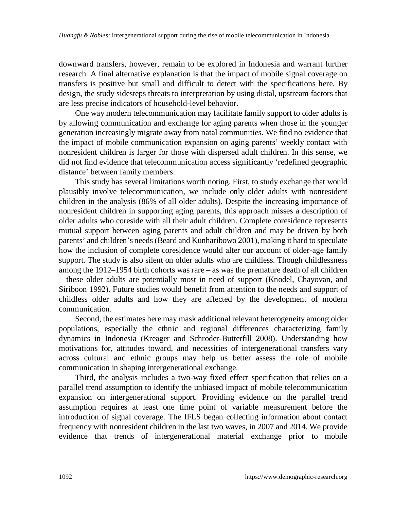downward transfers, however, remain to be explored in Indonesia and warrant further research. A final alternative explanation is that the impact of mobile signal coverage on transfers is positive but small and difficult to detect with the specifications here. By design, the study sidesteps threats to interpretation by using distal, upstream factors that are less precise indicators of household-level behavior.

One way modern telecommunication may facilitate family support to older adults is by allowing communication and exchange for aging parents when those in the younger generation increasingly migrate away from natal communities. We find no evidence that the impact of mobile communication expansion on aging parents' weekly contact with nonresident children is larger for those with dispersed adult children. In this sense, we did not find evidence that telecommunication access significantly 'redefined geographic distance' between family members.

This study has several limitations worth noting. First, to study exchange that would plausibly involve telecommunication, we include only older adults with nonresident children in the analysis (86% of all older adults). Despite the increasing importance of nonresident children in supporting aging parents, this approach misses a description of older adults who coreside with all their adult children. Complete coresidence represents mutual support between aging parents and adult children and may be driven by both parents' and children's needs (Beard and Kunharibowo 2001), making it hard to speculate how the inclusion of complete coresidence would alter our account of older-age family support. The study is also silent on older adults who are childless. Though childlessness among the 1912–1954 birth cohorts was rare – as was the premature death of all children – these older adults are potentially most in need of support (Knodel, Chayovan, and Siriboon 1992). Future studies would benefit from attention to the needs and support of childless older adults and how they are affected by the development of modern communication.

Second, the estimates here may mask additional relevant heterogeneity among older populations, especially the ethnic and regional differences characterizing family dynamics in Indonesia (Kreager and Schroder-Butterfill 2008). Understanding how motivations for, attitudes toward, and necessities of intergenerational transfers vary across cultural and ethnic groups may help us better assess the role of mobile communication in shaping intergenerational exchange.

Third, the analysis includes a two-way fixed effect specification that relies on a parallel trend assumption to identify the unbiased impact of mobile telecommunication expansion on intergenerational support. Providing evidence on the parallel trend assumption requires at least one time point of variable measurement before the introduction of signal coverage. The IFLS began collecting information about contact frequency with nonresident children in the last two waves, in 2007 and 2014. We provide evidence that trends of intergenerational material exchange prior to mobile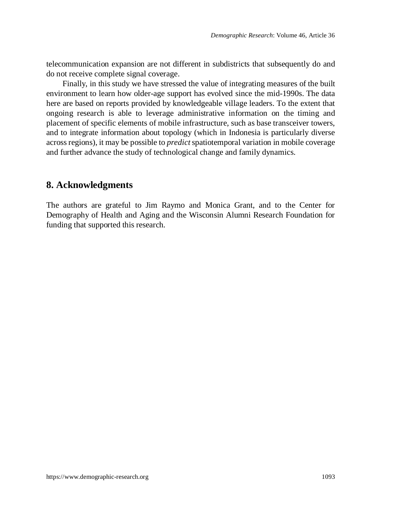telecommunication expansion are not different in subdistricts that subsequently do and do not receive complete signal coverage.

Finally, in this study we have stressed the value of integrating measures of the built environment to learn how older-age support has evolved since the mid-1990s. The data here are based on reports provided by knowledgeable village leaders. To the extent that ongoing research is able to leverage administrative information on the timing and placement of specific elements of mobile infrastructure, such as base transceiver towers, and to integrate information about topology (which in Indonesia is particularly diverse across regions), it may be possible to *predict* spatiotemporal variation in mobile coverage and further advance the study of technological change and family dynamics.

## **8. Acknowledgments**

The authors are grateful to Jim Raymo and Monica Grant, and to the Center for Demography of Health and Aging and the Wisconsin Alumni Research Foundation for funding that supported this research.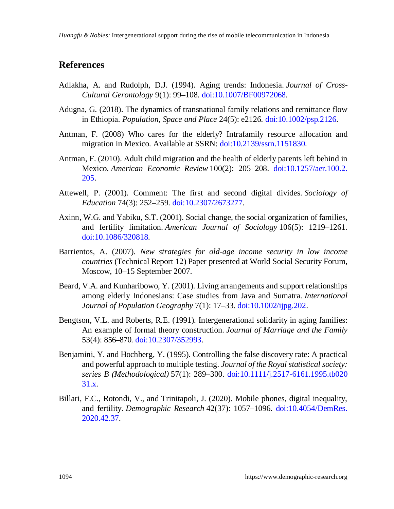## **References**

- Adlakha, A. and Rudolph, D.J. (1994). Aging trends: Indonesia. *Journal of Cross-Cultural Gerontology* 9(1): 99–108. [doi:10.1007/BF00972068.](https://doi.org/10.1007/BF00972068)
- Adugna, G. (2018). The dynamics of transnational family relations and remittance flow in Ethiopia. *Population, Space and Place* 24(5): e2126. [doi:10.1002/psp.2126.](https://doi.org/10.1002/psp.2126)
- Antman, F. (2008) Who cares for the elderly? Intrafamily resource allocation and migration in Mexico. Available at SSRN: [doi:10.2139/ssrn.1151830.](https://doi.org/10.2139/ssrn.1151830)
- Antman, F. (2010). Adult child migration and the health of elderly parents left behind in Mexico. *American Economic Review* 100(2): 205–208. [doi:10.1257/aer.100.2.](https://doi.org/10.1257/aer.100.2.205) [205.](https://doi.org/10.1257/aer.100.2.205)
- Attewell, P. (2001). Comment: The first and second digital divides. *Sociology of Education* 74(3): 252–259. [doi:10.2307/2673277.](https://doi.org/10.2307/2673277)
- Axinn, W.G. and Yabiku, S.T. (2001). Social change, the social organization of families, and fertility limitation. *American Journal of Sociology* 106(5): 1219–1261. [doi:10.1086/320818.](https://doi.org/10.1086/320818)
- Barrientos, A. (2007). *New strategies for old-age income security in low income countries* (Technical Report 12) Paper presented at World Social Security Forum, Moscow, 10–15 September 2007.
- Beard, V.A. and Kunharibowo, Y. (2001). Living arrangements and support relationships among elderly Indonesians: Case studies from Java and Sumatra. *International Journal of Population Geography* 7(1): 17–33. [doi:10.1002/ijpg.202](https://doi.org/10.1002/ijpg.202).
- Bengtson, V.L. and Roberts, R.E. (1991). Intergenerational solidarity in aging families: An example of formal theory construction. *Journal of Marriage and the Family* 53(4): 856–870. [doi:10.2307/352993](https://doi.org/10.2307/352993).
- Benjamini, Y. and Hochberg, Y. (1995). Controlling the false discovery rate: A practical and powerful approach to multiple testing. *Journal of the Royal statistical society: series B (Methodological)* 57(1): 289–300. [doi:10.1111/j.2517-6161.1995.tb020](https://doi.org/10.1111/j.2517-6161.1995.tb02031.x) [31.x.](https://doi.org/10.1111/j.2517-6161.1995.tb02031.x)
- Billari, F.C., Rotondi, V., and Trinitapoli, J. (2020). Mobile phones, digital inequality, and fertility. *Demographic Research* 42(37): 1057–1096. [doi:10.4054/DemRes.](https://doi.org/10.4054/DemRes.2020.42.37) [2020.42.37.](https://doi.org/10.4054/DemRes.2020.42.37)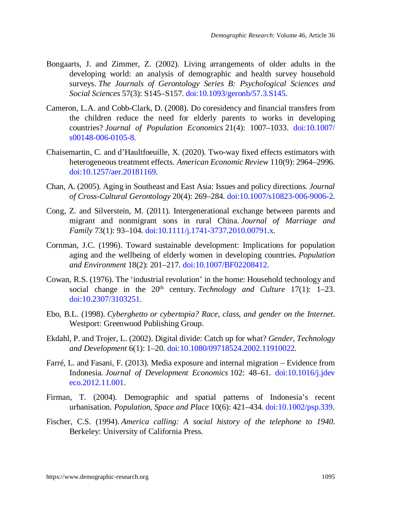- Bongaarts, J. and Zimmer, Z. (2002). Living arrangements of older adults in the developing world: an analysis of demographic and health survey household surveys. *The Journals of Gerontology Series B: Psychological Sciences and Social Sciences* 57(3): S145–S157. [doi:10.1093/geronb/57.3.S145.](https://doi.org/10.1093/geronb/57.3.S145)
- Cameron, L.A. and Cobb-Clark, D. (2008). Do coresidency and financial transfers from the children reduce the need for elderly parents to works in developing countries? *Journal of Population Economics* 21(4): 1007–1033. [doi:10.1007/](https://doi.org/10.1007/s00148-006-0105-8) [s00148-006-0105-8.](https://doi.org/10.1007/s00148-006-0105-8)
- Chaisemartin, C. and d'Haultfoeuille, X. (2020). Two-way fixed effects estimators with heterogeneous treatment effects. *American Economic Review* 110(9): 2964–2996. [doi:10.1257/aer.20181169.](https://doi.org/10.1257/aer.20181169)
- Chan, A. (2005). Aging in Southeast and East Asia: Issues and policy directions. *Journal of Cross-Cultural Gerontology* 20(4): 269–284. [doi:10.1007/s10823-006-9006-2.](https://doi.org/10.1007/s10823-006-9006-2)
- Cong, Z. and Silverstein, M. (2011). Intergenerational exchange between parents and migrant and nonmigrant sons in rural China. *Journal of Marriage and Family* 73(1): 93–104. [doi:10.1111/j.1741-3737.2010.00791.x.](https://doi.org/10.1111/j.1741-3737.2010.00791.x)
- Cornman, J.C. (1996). Toward sustainable development: Implications for population aging and the wellbeing of elderly women in developing countries. *Population and Environment* 18(2): 201–217. [doi:10.1007/BF02208412.](https://doi.org/10.1007/BF02208412)
- Cowan, R.S. (1976). The 'industrial revolution' in the home: Household technology and social change in the  $20<sup>th</sup>$  century. *Technology and Culture* 17(1): 1–23. [doi:10.2307/3103251.](https://doi.org/10.2307/3103251)
- Ebo, B.L. (1998). *Cyberghetto or cybertopia? Race, class, and gender on the Internet*. Westport: Greenwood Publishing Group.
- Ekdahl, P. and Trojer, L. (2002). Digital divide: Catch up for what? *Gender, Technology and Development* 6(1): 1–20. [doi:10.1080/09718524.2002.11910022.](https://doi.org/10.1080/09718524.2002.11910022)
- Farré, L. and Fasani, F. (2013). Media exposure and internal migration Evidence from Indonesia. *Journal of Development Economics* 102: 48–61. [doi:10.1016/j.jdev](https://doi.org/10.1016/j.jdeveco.2012.11.001) [eco.2012.11.001.](https://doi.org/10.1016/j.jdeveco.2012.11.001)
- Firman, T. (2004). Demographic and spatial patterns of Indonesia's recent urbanisation. *Population, Space and Place* 10(6): 421–434. [doi:10.1002/psp.339](https://doi.org/10.1002/psp.339).
- Fischer, C.S. (1994). *America calling: A social history of the telephone to 1940*. Berkeley: University of California Press.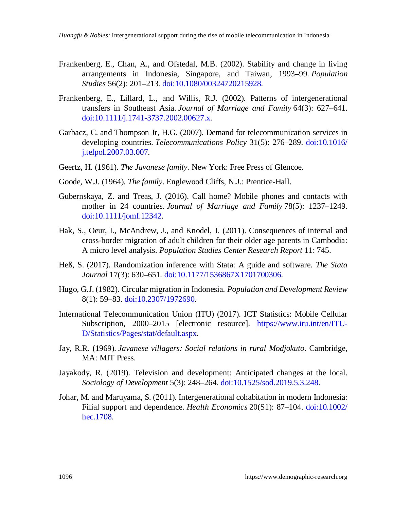- Frankenberg, E., Chan, A., and Ofstedal, M.B. (2002). Stability and change in living arrangements in Indonesia, Singapore, and Taiwan, 1993–99. *Population Studies* 56(2): 201–213. [doi:10.1080/00324720215928.](https://doi.org/10.1080/00324720215928)
- Frankenberg, E., Lillard, L., and Willis, R.J. (2002). Patterns of intergenerational transfers in Southeast Asia. *Journal of Marriage and Family* 64(3): 627–641. [doi:10.1111/j.1741-3737.2002.00627.x](https://doi.org/10.1111/j.1741-3737.2002.00627.x).
- Garbacz, C. and Thompson Jr, H.G. (2007). Demand for telecommunication services in developing countries. *Telecommunications Policy* 31(5): 276–289. [doi:10.1016/](https://doi.org/10.1016/j.telpol.2007.03.007) [j.telpol.2007.03.007.](https://doi.org/10.1016/j.telpol.2007.03.007)
- Geertz, H. (1961). *The Javanese family*. New York: Free Press of Glencoe.
- Goode, W.J. (1964). *The family*. Englewood Cliffs, N.J.: Prentice-Hall.
- Gubernskaya, Z. and Treas, J. (2016). Call home? Mobile phones and contacts with mother in 24 countries. *Journal of Marriage and Family* 78(5): 1237–1249. [doi:10.1111/jomf.12342](https://doi.org/10.1111/jomf.12342).
- Hak, S., Oeur, I., McAndrew, J., and Knodel, J. (2011). Consequences of internal and cross-border migration of adult children for their older age parents in Cambodia: A micro level analysis. *Population Studies Center Research Report* 11: 745.
- Heß, S. (2017). Randomization inference with Stata: A guide and software. *The Stata Journal* 17(3): 630–651. [doi:10.1177/1536867X1701700306.](https://doi.org/10.1177/1536867X1701700306)
- Hugo, G.J. (1982). Circular migration in Indonesia. *Population and Development Review* 8(1): 59–83. [doi:10.2307/1972690](https://doi.org/10.2307/1972690).
- International Telecommunication Union (ITU) (2017). ICT Statistics: Mobile Cellular Subscription, 2000–2015 [electronic resource]. [https://www.itu.int/en/ITU-](https://www.itu.int/en/ITU-D/Statistics/Pages/stat/default.aspx)[D/Statistics/Pages/stat/default.aspx.](https://www.itu.int/en/ITU-D/Statistics/Pages/stat/default.aspx)
- Jay, R.R. (1969). *Javanese villagers: Social relations in rural Modjokuto*. Cambridge, MA: MIT Press.
- Jayakody, R. (2019). Television and development: Anticipated changes at the local. *Sociology of Development* 5(3): 248–264. [doi:10.1525/sod.2019.5.3.248](https://doi.org/10.1525/sod.2019.5.3.248).
- Johar, M. and Maruyama, S. (2011). Intergenerational cohabitation in modern Indonesia: Filial support and dependence. *Health Economics* 20(S1): 87–104. [doi:10.1002/](https://doi.org/10.1002/hec.1708) [hec.1708](https://doi.org/10.1002/hec.1708).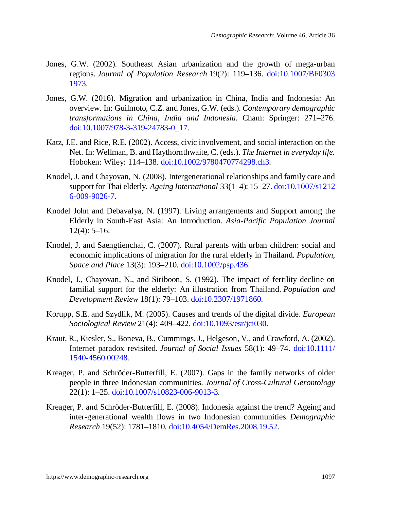- Jones, G.W. (2002). Southeast Asian urbanization and the growth of mega-urban regions. *Journal of Population Research* 19(2): 119–136. [doi:10.1007/BF0303](https://doi.org/10.1007/BF03031973) [1973](https://doi.org/10.1007/BF03031973).
- Jones, G.W. (2016). Migration and urbanization in China, India and Indonesia: An overview. In: Guilmoto, C.Z. and Jones, G.W. (eds.). *Contemporary demographic transformations in China, India and Indonesia*. Cham: Springer: 271–276. [doi:10.1007/978-3-319-24783-0\\_17.](https://doi.org/10.1007/978-3-319-24783-0_17)
- Katz, J.E. and Rice, R.E. (2002). Access, civic involvement, and social interaction on the Net. In: Wellman, B. and Haythornthwaite, C. (eds.). *The Internet in everyday life.* Hoboken: Wiley: 114–138. [doi:10.1002/9780470774298.ch3.](https://doi.org/10.1002/9780470774298.ch3)
- Knodel, J. and Chayovan, N. (2008). Intergenerational relationships and family care and support for Thai elderly. *Ageing International* 33(1–4): 15–27. [doi:10.1007/s1212](https://doi.org/10.1007/s12126-009-9026-7) [6-009-9026-7](https://doi.org/10.1007/s12126-009-9026-7).
- Knodel John and Debavalya, N. (1997). Living arrangements and Support among the Elderly in South-East Asia: An Introduction. *Asia-Pacific Population Journal* 12(4): 5–16.
- Knodel, J. and Saengtienchai, C. (2007). Rural parents with urban children: social and economic implications of migration for the rural elderly in Thailand. *Population, Space and Place* 13(3): 193–210. [doi:10.1002/psp.436.](https://doi.org/10.1002/psp.436)
- Knodel, J., Chayovan, N., and Siriboon, S. (1992). The impact of fertility decline on familial support for the elderly: An illustration from Thailand. *Population and Development Review* 18(1): 79–103. [doi:10.2307/1971860.](https://doi.org/10.2307/1971860)
- Korupp, S.E. and Szydlik, M. (2005). Causes and trends of the digital divide. *European Sociological Review* 21(4): 409–422. [doi:10.1093/esr/jci030](https://doi.org/10.1093/esr/jci030).
- Kraut, R., Kiesler, S., Boneva, B., Cummings, J., Helgeson, V., and Crawford, A. (2002). Internet paradox revisited. *Journal of Social Issues* 58(1): 49–74. [doi:10.1111/](https://doi.org/10.1111/1540-4560.00248) [1540-4560.00248.](https://doi.org/10.1111/1540-4560.00248)
- Kreager, P. and Schröder-Butterfill, E. (2007). Gaps in the family networks of older people in three Indonesian communities. *Journal of Cross-Cultural Gerontology* 22(1): 1–25. [doi:10.1007/s10823-006-9013-3.](https://doi.org/10.1007/s10823-006-9013-3)
- Kreager, P. and Schröder-Butterfill, E. (2008). Indonesia against the trend? Ageing and inter-generational wealth flows in two Indonesian communities. *Demographic Research* 19(52): 1781–1810. [doi:10.4054/DemRes.2008.19.52.](https://doi.org/10.4054/DemRes.2008.19.52)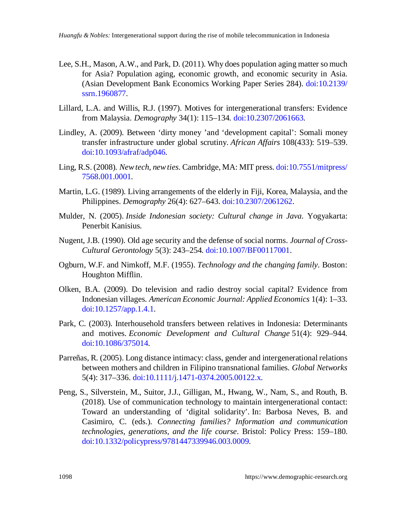- Lee, S.H., Mason, A.W., and Park, D. (2011). Why does population aging matter so much for Asia? Population aging, economic growth, and economic security in Asia. (Asian Development Bank Economics Working Paper Series 284). [doi:10.2139/](https://doi.org/10.2139/ssrn.1960877) [ssrn.1960877](https://doi.org/10.2139/ssrn.1960877).
- Lillard, L.A. and Willis, R.J. (1997). Motives for intergenerational transfers: Evidence from Malaysia. *Demography* 34(1): 115–134. [doi:10.2307/2061663](https://doi.org/10.2307/2061663).
- Lindley, A. (2009). Between 'dirty money 'and 'development capital': Somali money transfer infrastructure under global scrutiny. *African Affairs* 108(433): 519–539. [doi:10.1093/afraf/adp046](https://doi.org/10.1093/afraf/adp046).
- Ling, R.S. (2008). *New tech, new ties*. Cambridge, MA: MIT press. [doi:10.7551/mitpress/](https://doi.org/10.7551/mitpress/7568.001.0001) [7568.001.0001](https://doi.org/10.7551/mitpress/7568.001.0001).
- Martin, L.G. (1989). Living arrangements of the elderly in Fiji, Korea, Malaysia, and the Philippines. *Demography* 26(4): 627–643. [doi:10.2307/2061262.](https://doi.org/10.2307/2061262)
- Mulder, N. (2005). *Inside Indonesian society: Cultural change in Java*. Yogyakarta: Penerbit Kanisius.
- Nugent, J.B. (1990). Old age security and the defense of social norms. *Journal of Cross-Cultural Gerontology* 5(3): 243–254. [doi:10.1007/BF00117001.](https://doi.org/10.1007/BF00117001)
- Ogburn, W.F. and Nimkoff, M.F. (1955). *Technology and the changing family*. Boston: Houghton Mifflin.
- Olken, B.A. (2009). Do television and radio destroy social capital? Evidence from Indonesian villages. *American Economic Journal: Applied Economics* 1(4): 1–33. [doi:10.1257/app.1.4.1](https://doi.org/10.1257/app.1.4.1).
- Park, C. (2003). Interhousehold transfers between relatives in Indonesia: Determinants and motives. *Economic Development and Cultural Change* 51(4): 929–944. [doi:10.1086/375014.](https://doi.org/10.1086/375014)
- Parreñas, R. (2005). Long distance intimacy: class, gender and intergenerational relations between mothers and children in Filipino transnational families. *Global Networks* 5(4): 317–336. [doi:10.1111/j.1471-0374.2005.00122.x.](https://doi.org/10.1111/j.1471-0374.2005.00122.x)
- Peng, S., Silverstein, M., Suitor, J.J., Gilligan, M., Hwang, W., Nam, S., and Routh, B. (2018). Use of communication technology to maintain intergenerational contact: Toward an understanding of 'digital solidarity'. In: Barbosa Neves, B. and Casimiro, C. (eds.). *Connecting families? Information and communication technologies, generations, and the life course*. Bristol: Policy Press: 159–180. [doi:10.1332/policypress/9781447339946.003.0009](https://doi.org/10.1332/policypress/9781447339946.003.0009).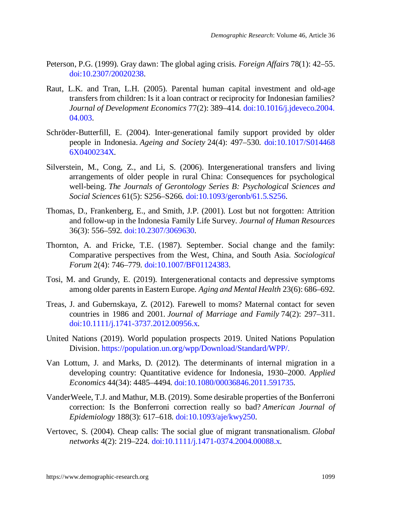- Peterson, P.G. (1999). Gray dawn: The global aging crisis. *Foreign Affairs* 78(1): 42–55. [doi:10.2307/20020238.](https://doi.org/10.2307/20020238)
- Raut, L.K. and Tran, L.H. (2005). Parental human capital investment and old-age transfers from children: Is it a loan contract or reciprocity for Indonesian families? *Journal of Development Economics* 77(2): 389–414. [doi:10.1016/j.jdeveco.2004.](https://doi.org/10.1016/j.jdeveco.2004.04.003) [04.003](https://doi.org/10.1016/j.jdeveco.2004.04.003).
- Schröder-Butterfill, E. (2004). Inter-generational family support provided by older people in Indonesia. *Ageing and Society* 24(4): 497–530. [doi:10.1017/S014468](https://doi.org/10.1017/S0144686X0400234X) [6X0400234X.](https://doi.org/10.1017/S0144686X0400234X)
- Silverstein, M., Cong, Z., and Li, S. (2006). Intergenerational transfers and living arrangements of older people in rural China: Consequences for psychological well-being. *The Journals of Gerontology Series B: Psychological Sciences and Social Sciences* 61(5): S256–S266. [doi:10.1093/geronb/61.5.S256.](https://doi.org/10.1093/geronb/61.5.S256)
- Thomas, D., Frankenberg, E., and Smith, J.P. (2001). Lost but not forgotten: Attrition and follow-up in the Indonesia Family Life Survey. *Journal of Human Resources* 36(3): 556–592. [doi:10.2307/3069630.](https://doi.org/10.2307/3069630)
- Thornton, A. and Fricke, T.E. (1987). September. Social change and the family: Comparative perspectives from the West, China, and South Asia. *Sociological Forum* 2(4): 746–779. [doi:10.1007/BF01124383.](https://doi.org/10.1007/BF01124383)
- Tosi, M. and Grundy, E. (2019). Intergenerational contacts and depressive symptoms among older parents in Eastern Europe. *Aging and Mental Health* 23(6): 686–692.
- Treas, J. and Gubernskaya, Z. (2012). Farewell to moms? Maternal contact for seven countries in 1986 and 2001. *Journal of Marriage and Family* 74(2): 297–311. [doi:10.1111/j.1741-3737.2012.00956.x.](https://doi.org/10.1111/j.1741-3737.2012.00956.x)
- United Nations (2019). World population prospects 2019. United Nations Population Division. [https://population.un.org/wpp/Download/Standard/WPP/.](https://population.un.org/wpp/Download/Standard/WPP/)
- Van Lottum, J. and Marks, D. (2012). The determinants of internal migration in a developing country: Quantitative evidence for Indonesia, 1930–2000. *Applied Economics* 44(34): 4485–4494. [doi:10.1080/00036846.2011.591735](https://doi.org/10.1080/00036846.2011.591735).
- VanderWeele, T.J. and Mathur, M.B. (2019). Some desirable properties of the Bonferroni correction: Is the Bonferroni correction really so bad? *American Journal of Epidemiology* 188(3): 617–618. [doi:10.1093/aje/kwy250.](https://doi.org/10.1093/aje/kwy250)
- Vertovec, S. (2004). Cheap calls: The social glue of migrant transnationalism. *Global networks* 4(2): 219–224. [doi:10.1111/j.1471-0374.2004.00088.x.](https://doi.org/10.1111/j.1471-0374.2004.00088.x)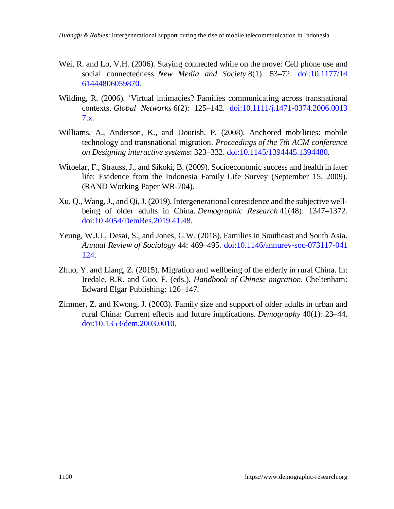- Wei, R. and Lo, V.H. (2006). Staying connected while on the move: Cell phone use and social connectedness. *New Media and Society* 8(1): 53–72. [doi:10.1177/14](https://doi.org/10.1177/1461444806059870) [61444806059870](https://doi.org/10.1177/1461444806059870).
- Wilding, R. (2006). 'Virtual intimacies? Families communicating across transnational contexts. *Global Networks* 6(2): 125–142. [doi:10.1111/j.1471-0374.2006.0013](https://doi.org/10.1111/j.1471-0374.2006.00137.x) [7.x](https://doi.org/10.1111/j.1471-0374.2006.00137.x).
- Williams, A., Anderson, K., and Dourish, P. (2008). Anchored mobilities: mobile technology and transnational migration. *Proceedings of the 7th ACM conference on Designing interactive systems*: 323–332. [doi:10.1145/1394445.1394480.](https://doi.org/10.1145/1394445.1394480)
- Witoelar, F., Strauss, J., and Sikoki, B. (2009). Socioeconomic success and health in later life: Evidence from the Indonesia Family Life Survey (September 15, 2009). (RAND Working Paper WR-704).
- Xu, Q., Wang, J., and Qi, J. (2019). Intergenerational coresidence and the subjective wellbeing of older adults in China. *Demographic Research* 41(48): 1347–1372. [doi:10.4054/DemRes.2019.41.48](https://doi.org/10.4054/DemRes.2019.41.48).
- Yeung, W.J.J., Desai, S., and Jones, G.W. (2018). Families in Southeast and South Asia. *Annual Review of Sociology* 44: 469–495. [doi:10.1146/annurev-soc-073117-041](https://doi.org/10.1146/annurev-soc-073117-041124) [124.](https://doi.org/10.1146/annurev-soc-073117-041124)
- Zhuo, Y. and Liang, Z. (2015). Migration and wellbeing of the elderly in rural China. In: Iredale, R.R. and Guo, F. (eds.). *Handbook of Chinese migration*. Cheltenham: Edward Elgar Publishing: 126–147.
- Zimmer, Z. and Kwong, J. (2003). Family size and support of older adults in urban and rural China: Current effects and future implications. *Demography* 40(1): 23–44. [doi:10.1353/dem.2003.0010.](https://doi.org/10.1353/dem.2003.0010)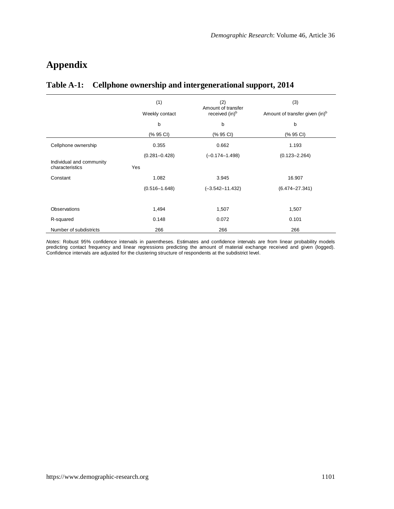# **Appendix**

### **Table A-1: Cellphone ownership and intergenerational support, 2014**

|                                             | (1)<br>Weekly contact | (2)<br>Amount of transfer<br>received (in) <sup>b</sup> | (3)<br>Amount of transfer given (in) <sup>b</sup> |  |
|---------------------------------------------|-----------------------|---------------------------------------------------------|---------------------------------------------------|--|
|                                             |                       |                                                         |                                                   |  |
|                                             | b                     | b                                                       | b                                                 |  |
|                                             | (% 95 CI)             | (% 95 CI)                                               | (% 95 CI)                                         |  |
| Cellphone ownership                         | 0.355                 | 0.662                                                   | 1.193                                             |  |
|                                             | $(0.281 - 0.428)$     | $(-0.174 - 1.498)$                                      | $(0.123 - 2.264)$                                 |  |
| Individual and community<br>characteristics | Yes                   |                                                         |                                                   |  |
| Constant                                    | 1.082                 | 3.945                                                   | 16.907                                            |  |
|                                             | $(0.516 - 1.648)$     | $(-3.542 - 11.432)$                                     | $(6.474 - 27.341)$                                |  |
|                                             |                       |                                                         |                                                   |  |
| <b>Observations</b>                         | 1,494                 | 1,507                                                   | 1,507                                             |  |
| R-squared                                   | 0.148                 | 0.072                                                   | 0.101                                             |  |
| Number of subdistricts                      | 266                   | 266                                                     | 266                                               |  |

*Notes*: Robust 95% confidence intervals in parentheses. Estimates and confidence intervals are from linear probability models predicting contact frequency and linear regressions predicting the amount of material exchange received and given (logged).<br>Confidence intervals are adjusted for the clustering structure of respondents at the subdistrict l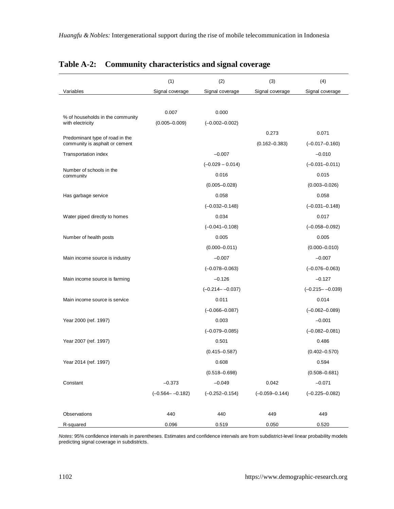|                                                                   | (1)                 | (2)                 | (3)                | (4)                 |
|-------------------------------------------------------------------|---------------------|---------------------|--------------------|---------------------|
| Variables                                                         | Signal coverage     | Signal coverage     | Signal coverage    | Signal coverage     |
|                                                                   |                     |                     |                    |                     |
|                                                                   | 0.007               | 0.000               |                    |                     |
| % of households in the community<br>with electricity              | $(0.005 - 0.009)$   | $(-0.002 - 0.002)$  |                    |                     |
|                                                                   |                     |                     | 0.273              | 0.071               |
| Predominant type of road in the<br>community is asphalt or cement |                     |                     | $(0.162 - 0.383)$  | $(-0.017 - 0.160)$  |
| Transportation index                                              |                     | $-0.007$            |                    | $-0.010$            |
|                                                                   |                     | $(-0.029 - 0.014)$  |                    | $(-0.031 - 0.011)$  |
| Number of schools in the<br>community                             |                     | 0.016               |                    | 0.015               |
|                                                                   |                     | $(0.005 - 0.028)$   |                    | $(0.003 - 0.026)$   |
| Has garbage service                                               |                     | 0.058               |                    | 0.058               |
|                                                                   |                     | $(-0.032 - 0.148)$  |                    | $(-0.031 - 0.148)$  |
| Water piped directly to homes                                     |                     | 0.034               |                    | 0.017               |
|                                                                   |                     | $(-0.041 - 0.108)$  |                    | $(-0.058 - 0.092)$  |
| Number of health posts                                            |                     | 0.005               |                    | 0.005               |
|                                                                   |                     | $(0.000 - 0.011)$   |                    | $(0.000 - 0.010)$   |
| Main income source is industry                                    |                     | $-0.007$            |                    | $-0.007$            |
|                                                                   |                     | $(-0.078 - 0.063)$  |                    | $(-0.076 - 0.063)$  |
| Main income source is farming                                     |                     | $-0.126$            |                    | $-0.127$            |
|                                                                   |                     | $(-0.214 - -0.037)$ |                    | $(-0.215 - -0.039)$ |
| Main income source is service                                     |                     | 0.011               |                    | 0.014               |
|                                                                   |                     | $(-0.066 - 0.087)$  |                    | $(-0.062 - 0.089)$  |
| Year 2000 (ref. 1997)                                             |                     | 0.003               |                    | $-0.001$            |
|                                                                   |                     | $(-0.079 - 0.085)$  |                    | $(-0.082 - 0.081)$  |
| Year 2007 (ref. 1997)                                             |                     | 0.501               |                    | 0.486               |
|                                                                   |                     | $(0.415 - 0.587)$   |                    | $(0.402 - 0.570)$   |
| Year 2014 (ref. 1997)                                             |                     | 0.608               |                    | 0.594               |
|                                                                   |                     | $(0.518 - 0.698)$   |                    | $(0.508 - 0.681)$   |
| Constant                                                          | $-0.373$            | $-0.049$            | 0.042              | $-0.071$            |
|                                                                   | $(-0.564 - -0.182)$ | $(-0.252 - 0.154)$  | $(-0.059 - 0.144)$ | $(-0.225 - 0.082)$  |
|                                                                   |                     |                     |                    |                     |
| Observations                                                      | 440                 | 440                 | 449                | 449                 |
| R-squared                                                         | 0.096               | 0.519               | 0.050              | 0.520               |

### **Table A-2: Community characteristics and signal coverage**

*Notes*: 95% confidence intervals in parentheses. Estimates and confidence intervals are from subdistrict-level linear probability models predicting signal coverage in subdistricts.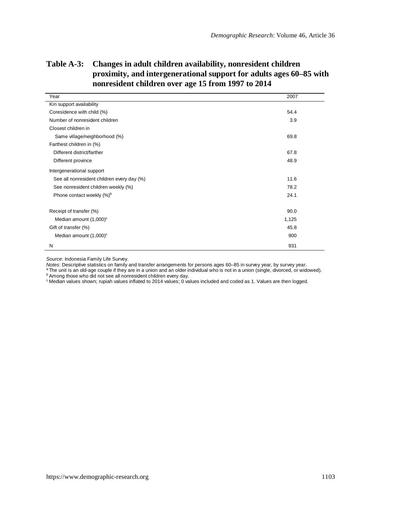| Year                                       | 2007  |
|--------------------------------------------|-------|
| Kin support availability                   |       |
| Coresidence with child (%)                 | 54.4  |
| Number of nonresident children             | 3.9   |
| Closest children in                        |       |
| Same village/neighborhood (%)              | 69.8  |
| Farthest children in (%)                   |       |
| Different district/farther                 | 67.8  |
| Different province                         | 48.9  |
| Intergenerational support                  |       |
| See all nonresident children every day (%) | 11.6  |
| See nonresident children weekly (%)        | 78.2  |
| Phone contact weekly (%) <sup>b</sup>      | 24.1  |
| Receipt of transfer (%)                    | 90.0  |
| Median amount (1,000) <sup>c</sup>         | 1,125 |
| Gift of transfer (%)                       | 45.8  |
| Median amount $(1,000)^c$                  | 900   |
| N                                          | 931   |

### **Table A-3: Changes in adult children availability, nonresident children proximity, and intergenerational support for adults ages 60–85 with nonresident children over age 15 from 1997 to 2014**

*Source*: Indonesia Family Life Survey.

*Notes*: Descriptive statistics on family and transfer arrangements for persons ages 60–85 in survey year, by survey year.<br><sup>a</sup> The unit is an old-age couple if they are in a union and an older individual who is not in a un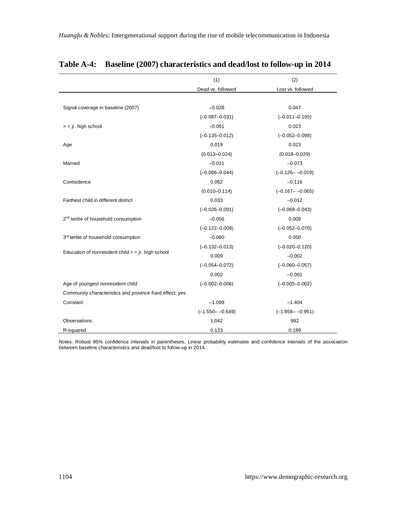|                                                          | (1)                 | (2)                 |
|----------------------------------------------------------|---------------------|---------------------|
|                                                          | Dead vs. followed   | Lost vs. followed   |
|                                                          |                     |                     |
| Signal coverage in baseline (2007)                       | $-0.028$            | 0.047               |
|                                                          | $(-0.087 - 0.031)$  | $(-0.011 - 0.105)$  |
| $=$ jr. high school                                      | $-0.061$            | 0.023               |
|                                                          | $(-0.135 - 0.012)$  | $(-0.052 - 0.098)$  |
| Age                                                      | 0.019               | 0.023               |
|                                                          | $(0.013 - 0.024)$   | $(0.018 - 0.029)$   |
| Married                                                  | $-0.011$            | $-0.073$            |
|                                                          | $(-0.066 - 0.044)$  | $(-0.126 - -0.019)$ |
| Coresidence                                              | 0.062               | $-0.116$            |
|                                                          | $(0.010 - 0.114)$   | $(-0.167 - -0.065)$ |
| Farthest child in different district                     | 0.033               | $-0.012$            |
|                                                          | $(-0.026 - 0.091)$  | $(-0.068 - 0.043)$  |
| 2 <sup>nd</sup> tertile of household consumption         | $-0.056$            | 0.009               |
|                                                          | $(-0.122 - 0.009)$  | $(-0.052 - 0.070)$  |
| 3 <sup>rd</sup> tertile of household consumption         | $-0.060$            | 0.050               |
|                                                          | $(-0.132 - 0.013)$  | $(-0.020 - 0.120)$  |
| Education of nonresident child $>$ = jr. high school     | 0.009               | $-0.002$            |
|                                                          | $(-0.054 - 0.072)$  | $(-0.060 - 0.057)$  |
|                                                          | 0.002               | $-0.001$            |
| Age of youngest nonresident child                        | $(-0.002 - 0.006)$  | $(-0.005 - 0.002)$  |
| Community characteristics and province fixed effect: yes |                     |                     |
| Constant                                                 | $-1.099$            | $-1.404$            |
|                                                          | $(-1.550 - -0.649)$ | $(-1.858 - -0.951)$ |
| Observations                                             | 1,042               | 992                 |
| R-squared                                                | 0.133               | 0.189               |

#### **Table A-4: Baseline (2007) characteristics and dead/lost to follow-up in 2014**

*Notes:* Robust 95% confidence intervals in parentheses. Linear probability estimates and confidence intervals of the association<br>between baseline characteristics and dead/lost to follow-up in 2014.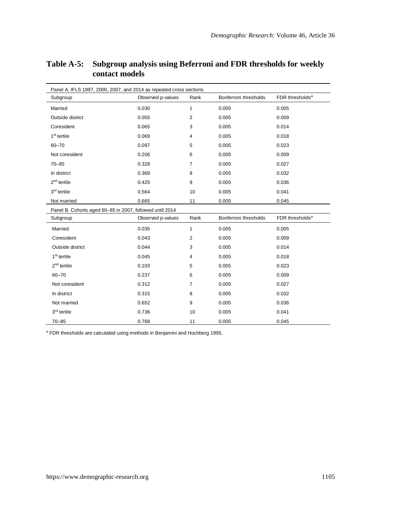| Panel A. IFLS 1997, 2000, 2007, and 2014 as repeated cross sections |                                                          |                |                       |                             |
|---------------------------------------------------------------------|----------------------------------------------------------|----------------|-----------------------|-----------------------------|
| Subgroup                                                            | Observed p-values                                        | Rank           | Bonferroni thresholds | FDR thresholds <sup>a</sup> |
| Married                                                             | 0.030                                                    | $\mathbf{1}$   | 0.005                 | 0.005                       |
| Outside district                                                    | 0.055                                                    | $\overline{2}$ | 0.005                 | 0.009                       |
| Coresident                                                          | 0.065                                                    | 3              | 0.005                 | 0.014                       |
| 1 <sup>st</sup> tertile                                             | 0.069                                                    | $\overline{4}$ | 0.005                 | 0.018                       |
| $60 - 70$                                                           | 0.097                                                    | 5              | 0.005                 | 0.023                       |
| Not coresident                                                      | 0.206                                                    | 6              | 0.005                 | 0.009                       |
| $70 - 85$                                                           | 0.328                                                    | $\overline{7}$ | 0.005                 | 0.027                       |
| In district                                                         | 0.369                                                    | 8              | 0.005                 | 0.032                       |
| $2nd$ tertile                                                       | 0.425                                                    | 9              | 0.005                 | 0.036                       |
| 3 <sup>rd</sup> tertile                                             | 0.564                                                    | 10             | 0.005                 | 0.041                       |
| Not married                                                         | 0.665                                                    | 11             | 0.005                 | 0.045                       |
|                                                                     | Panel B. Cohorts aged 60-85 in 2007, followed until 2014 |                |                       |                             |
| Subgroup                                                            | Observed p-values                                        | Rank           | Bonferroni thresholds | FDR thresholds <sup>a</sup> |
| Married                                                             | 0.035                                                    | $\mathbf{1}$   | 0.005                 | 0.005                       |
| Coresident                                                          | 0.043                                                    | $\overline{2}$ | 0.005                 | 0.009                       |
| Outside district                                                    | 0.044                                                    | 3              | 0.005                 | 0.014                       |
| 1 <sup>st</sup> tertile                                             | 0.045                                                    | $\overline{4}$ | 0.005                 | 0.018                       |
| $2nd$ tertile                                                       | 0.103                                                    | 5              | 0.005                 | 0.023                       |
| $60 - 70$                                                           | 0.237                                                    | 6              | 0.005                 | 0.009                       |
| Not coresident                                                      | 0.312                                                    | $\overline{7}$ | 0.005                 | 0.027                       |
| In district                                                         | 0.315                                                    | 8              | 0.005                 | 0.032                       |
| Not married                                                         | 0.652                                                    | 9              | 0.005                 | 0.036                       |
| 3 <sup>rd</sup> tertile                                             | 0.736                                                    | 10             | 0.005                 | 0.041                       |
| $70 - 85$                                                           | 0.768                                                    | 11             | 0.005                 | 0.045                       |

#### **Table A-5: Subgroup analysis using Beferroni and FDR thresholds for weekly contact models**

<sup>a</sup> FDR thresholds are calculated using methods in Benjamini and Hochberg 1995.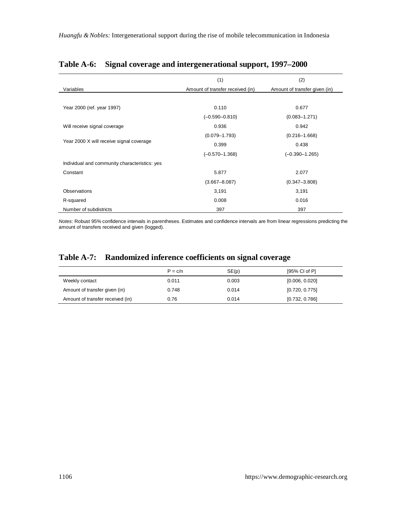|                                               | (1)                              | (2)                           |
|-----------------------------------------------|----------------------------------|-------------------------------|
| Variables                                     | Amount of transfer received (in) | Amount of transfer given (in) |
|                                               |                                  |                               |
| Year 2000 (ref. year 1997)                    | 0.110                            | 0.677                         |
|                                               | $(-0.590 - 0.810)$               | $(0.083 - 1.271)$             |
| Will receive signal coverage                  | 0.936                            | 0.942                         |
|                                               | $(0.079 - 1.793)$                | $(0.216 - 1.668)$             |
| Year 2000 X will receive signal coverage      | 0.399                            | 0.438                         |
|                                               | $(-0.570 - 1.368)$               | $(-0.390 - 1.265)$            |
| Individual and community characteristics: yes |                                  |                               |
| Constant                                      | 5.877                            | 2.077                         |
|                                               | $(3.667 - 8.087)$                | $(0.347 - 3.808)$             |
| Observations                                  | 3,191                            | 3,191                         |
| R-squared                                     | 0.008                            | 0.016                         |
| Number of subdistricts                        | 397                              | 397                           |

#### **Table A-6: Signal coverage and intergenerational support, 1997–2000**

*Notes*: Robust 95% confidence intervals in parentheses. Estimates and confidence intervals are from linear regressions predicting the<br>amount of transfers received and given (logged).

### **Table A-7: Randomized inference coefficients on signal coverage**

|                                  | $P = c/n$ | SE(p) | [95% CI of P]  |
|----------------------------------|-----------|-------|----------------|
| Weekly contact                   | 0.011     | 0.003 | [0.006, 0.020] |
| Amount of transfer given (in)    | 0.748     | 0.014 | [0.720, 0.775] |
| Amount of transfer received (in) | 0.76      | 0.014 | [0.732, 0.786] |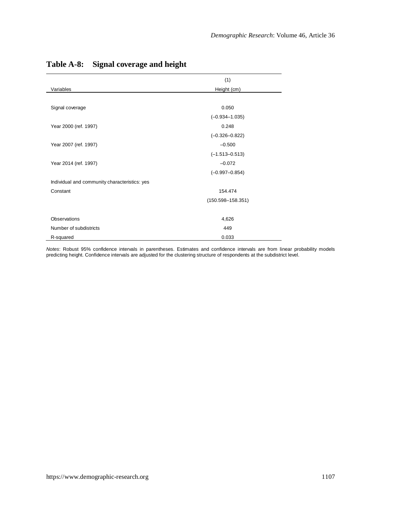|                                               | (1)                   |
|-----------------------------------------------|-----------------------|
| Variables                                     | Height (cm)           |
|                                               |                       |
| Signal coverage                               | 0.050                 |
|                                               | $(-0.934 - 1.035)$    |
| Year 2000 (ref. 1997)                         | 0.248                 |
|                                               | $(-0.326 - 0.822)$    |
| Year 2007 (ref. 1997)                         | $-0.500$              |
|                                               | $(-1.513 - 0.513)$    |
| Year 2014 (ref. 1997)                         | $-0.072$              |
|                                               | $(-0.997 - 0.854)$    |
| Individual and community characteristics: yes |                       |
| Constant                                      | 154.474               |
|                                               | $(150.598 - 158.351)$ |
| Observations                                  | 4,626                 |
| Number of subdistricts                        | 449                   |
| R-squared                                     | 0.033                 |

### **Table A-8: Signal coverage and height**

*Notes*: Robust 95% confidence intervals in parentheses. Estimates and confidence intervals are from linear probability models predicting height. Confidence intervals are adjusted for the clustering structure of respondents at the subdistrict level.